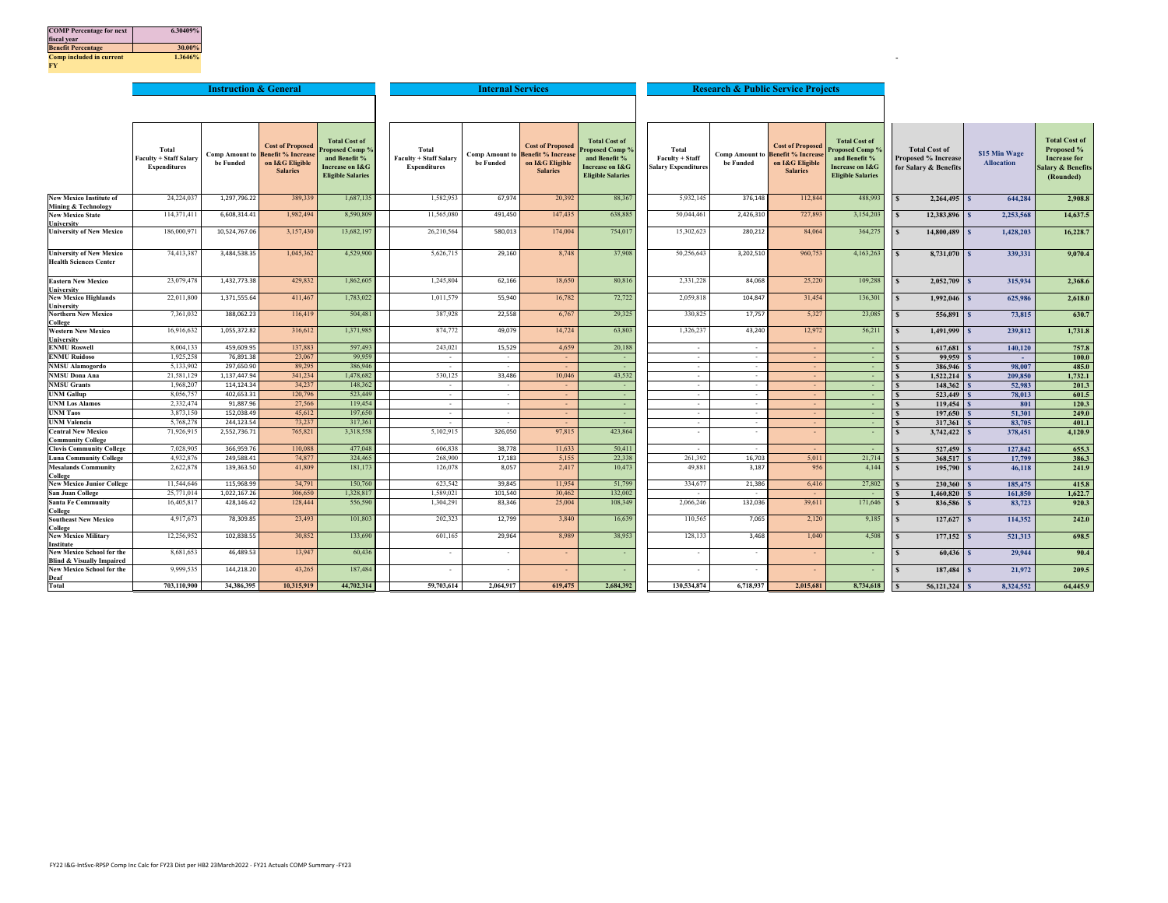| <b>COMP</b> Percentage for next | 6.30409% |
|---------------------------------|----------|
| fiscal year                     |          |
| <b>Benefit Percentage</b>       | 30.00%   |
| Comp included in current        | 1.3646%  |
| FY.                             |          |

|                                                                          |                               | <b>Instruction &amp; General</b> |                                                                     |                                         |                               | <b>Internal Services</b>           |                                                     |                                         |                            |                                    | <b>Research &amp; Public Service Projects</b>       |                                        |                              |                         |                                    |
|--------------------------------------------------------------------------|-------------------------------|----------------------------------|---------------------------------------------------------------------|-----------------------------------------|-------------------------------|------------------------------------|-----------------------------------------------------|-----------------------------------------|----------------------------|------------------------------------|-----------------------------------------------------|----------------------------------------|------------------------------|-------------------------|------------------------------------|
|                                                                          |                               |                                  |                                                                     |                                         |                               |                                    |                                                     |                                         |                            |                                    |                                                     |                                        |                              |                         |                                    |
|                                                                          |                               |                                  |                                                                     |                                         |                               |                                    |                                                     |                                         |                            |                                    |                                                     |                                        |                              |                         |                                    |
|                                                                          | Total                         |                                  | <b>Cost of Proposed</b><br><b>Comp Amount to Benefit % Increase</b> | <b>Total Cost of</b><br>Proposed Comp 9 | Total                         |                                    | <b>Cost of Proposed</b><br><b>Benefit % Increas</b> | <b>Total Cost of</b><br>Proposed Comp % | Total                      |                                    | <b>Cost of Proposed</b><br><b>Benefit % Increas</b> | <b>Total Cost of</b><br>roposed Comp 9 | <b>Total Cost of</b>         | \$15 Min Wage           | <b>Total Cost of</b><br>Proposed % |
|                                                                          | <b>Faculty + Staff Salary</b> | be Funded                        | on I&G Eligible                                                     | and Benefit %                           | <b>Faculty + Staff Salary</b> | <b>Comp Amount to</b><br>be Funded | on I&G Eligible                                     | and Benefit %                           | Faculty + Staff            | <b>Comp Amount to</b><br>be Funded | on I&G Eligible                                     | and Benefit %                          | <b>Proposed % Increase</b>   | <b>Allocation</b>       | <b>Increase for</b>                |
|                                                                          | <b>Expenditures</b>           |                                  | <b>Salaries</b>                                                     | Increase on I&G                         | <b>Expenditures</b>           |                                    | <b>Salaries</b>                                     | <b>Increase on I&amp;G</b>              | <b>Salary Expenditures</b> |                                    | <b>Salaries</b>                                     | Increase on I&G                        | for Salary & Benefits        |                         | salary & Benefits                  |
|                                                                          |                               |                                  |                                                                     | <b>Eligible Salaries</b>                |                               |                                    |                                                     | <b>Eligible Salaries</b>                |                            |                                    |                                                     | <b>Eligible Salaries</b>               |                              |                         | (Rounded)                          |
|                                                                          |                               |                                  |                                                                     |                                         |                               |                                    |                                                     |                                         |                            |                                    |                                                     |                                        |                              |                         |                                    |
| <b>New Mexico Institute of</b><br>Mining & Technology                    | 24,224,037                    | 1.297.796.22                     | 389,339                                                             | 1,687,135                               | 1.582.953                     | 67,974                             | 20,392                                              | 88,367                                  | 5.932.145                  | 376,148                            | 112,844                                             | 488,993                                | 2,264,495                    | 644.284                 | 2,908.8                            |
| <b>New Mexico State</b>                                                  | 114,371,411                   | 6,608,314.41                     | 1,982,494                                                           | 8,590,809                               | 11,565,080                    | 491,450                            | 147,435                                             | 638,885                                 | 50,044,461                 | 2,426,310                          | 727,893                                             | 3,154,203                              | 12.383.896 S<br>s            | 2.253.568               | 14,637.5                           |
| University                                                               |                               |                                  | 3,157,430                                                           | 13,682,19                               |                               |                                    |                                                     | 754,017                                 | 15,302,623                 |                                    |                                                     | 364,275                                |                              |                         |                                    |
| <b>University of New Mexico</b>                                          | 186,000,971                   | 10,524,767.06                    |                                                                     |                                         | 26,210,564                    | 580,013                            | 174,004                                             |                                         |                            | 280,212                            | 84,064                                              |                                        | 14,800,489                   | 1.428.203               | 16,228.7                           |
| <b>University of New Mexico</b><br><b>Health Sciences Center</b>         | 74,413,387                    | 3,484,538.35                     | 1,045,362                                                           | 4,529,900                               | 5,626,715                     | 29,160                             | 8,748                                               | 37,908                                  | 50,256,643                 | 3,202,510                          | 960,753                                             | 4,163,263                              | 8,731,070                    | 339,331                 | 9.070.4                            |
|                                                                          |                               |                                  |                                                                     |                                         |                               |                                    |                                                     |                                         |                            |                                    |                                                     |                                        |                              |                         |                                    |
| <b>Eastern New Mexico</b><br>University                                  | 23,079,478                    | 1,432,773.38                     | 429,832                                                             | 1,862,605                               | 1,245,804                     | 62,166                             | 18,650                                              | 80,816                                  | 2,331,228                  | 84,068                             | 25,220                                              | 109,288                                | $\mathbf{s}$<br>2,052,709    | 315,934<br>$\mathbf{s}$ | 2.368.6                            |
| <b>New Mexico Highlands</b><br>University                                | 22,011,800                    | 1,371,555.64                     | 411,467                                                             | 1,783,022                               | 1,011,579                     | 55,940                             | 16,782                                              | 72,722                                  | 2,059,818                  | 104,847                            | 31,454                                              | 136,301                                | $1,992,046$ \$<br>s          | 625,986                 | 2,618.0                            |
| <b>Northern New Mexico</b><br>College                                    | 7,361,032                     | 388,062.23                       | 116,419                                                             | 504,481                                 | 387,928                       | 22,558                             | 6,767                                               | 29,325                                  | 330,825                    | 17,757                             | 5,327                                               | 23,085                                 | 556,891<br>$\mathbf{s}$      | 73,815                  | 630.7                              |
| <b>Western New Mexico</b><br>University                                  | 16,916,632                    | 1,055,372.82                     | 316,612                                                             | 1,371,985                               | 874,772                       | 49,079                             | 14,724                                              | 63,803                                  | 1,326,237                  | 43,240                             | 12,972                                              | 56,211                                 | $1,491,999$ \$<br>s          | 239,812                 | 1,731.8                            |
| <b>ENMU Roswell</b>                                                      | 8,004,133                     | 459,609.95                       | 137,883                                                             | 597,493                                 | 243,021                       | 15,529                             | 4,659                                               | 20,188                                  | $\sim$                     | $\sim$                             | $\sim$                                              |                                        | 617,681                      | 140,120                 | 757.8                              |
| <b>ENMU Ruidoso</b>                                                      | 1,925,258                     | 76,891.38                        | 23,067                                                              | 99,959                                  | $\sim$                        | $\sim$                             |                                                     | $\sim$                                  | $\sim$                     | $\sim$                             | ÷.                                                  | $\sim$                                 | $99.959$ S                   | $\sim$                  | 100.0                              |
| <b>NMSU Alamogordo</b>                                                   | 5,133,902                     | 297,650.90                       | 89,295                                                              | 386,946                                 |                               |                                    |                                                     | $\sim$                                  | $\sim$                     | $\cdot$                            |                                                     | $\sim$                                 | 386,946                      | 98,007                  | 485.0                              |
| <b>NMSU Dona Ana</b>                                                     | 21,581,129                    | 1,137,447.94                     | 341,234                                                             | 1,478,682                               | 530,125                       | 33,486                             | 10,046                                              | 43,532                                  | $\sim$                     | $\sim$                             | $\sim$                                              | $\sim$                                 | 1.522.214                    | 209,850                 | 1,732.1                            |
| <b>NMSU</b> Grants                                                       | 1,968,207                     | 114,124.34                       | 34,237                                                              | 148,362                                 | $\sim$                        | $\sim$                             | $\sim$                                              | $\sim$                                  | $\sim$                     | $\sim$                             | $\sim$                                              | $\sim$                                 | $148.362$ S                  | 52,983                  | 201.3                              |
| <b>JNM Gallup</b>                                                        | 8,056,757                     | 402,653.31                       | 120,796                                                             | 523,449                                 | $\sim$                        | $\sim$<br>$\sim$                   | $\mathcal{L}$                                       | $\sim$                                  | $\sim$                     | $\cdot$                            | ÷.                                                  | $\sim$                                 | $523.449$ S                  | 78,013                  | 601.5                              |
| <b>UNM Los Alamos</b><br><b>UNM Taos</b>                                 | 2,332,474<br>3,873,150        | 91,887.96<br>152,038.49          | 27,566<br>45,612                                                    | 119,454<br>197,650                      | $\sim$<br>$\sim$              | $\sim$                             | $\sim$<br>$\sim$                                    | $\sim$<br>$\sim$                        | $\sim$<br>$\sim$           | $\cdot$<br>$\sim$                  | ÷.<br>÷.                                            | $\sim$<br>$\sim$                       | 119,454                      | 801                     | 120.3                              |
| <b>JNM Valencia</b>                                                      | 5,768,278                     | 244,123.54                       | 73,237                                                              | 317,361                                 | $\sim$                        | $\sim$                             | $\sim$                                              | $\sim$                                  | $\sim$                     | $\sim$                             | $\sim$                                              | $\sim$                                 | $197.650$ S<br>317,361 S     | 51,301<br>83,705        | 249.0<br>401.1                     |
| <b>Central New Mexico</b>                                                | 71,926,915                    | 2.552.736.71                     | 765,821                                                             | 3,318,558                               | 5,102,915                     | 326,050                            | 97,815                                              | 423.864                                 | $\sim$                     | $\sim$                             |                                                     |                                        | $3,742,422$ \$               | 378,451                 | 4,120.9                            |
| <b>Community College</b>                                                 |                               |                                  |                                                                     |                                         |                               |                                    |                                                     |                                         |                            |                                    |                                                     |                                        |                              |                         |                                    |
| <b>Clovis Community College</b>                                          | 7.028.905                     | 366,959.76                       | 110,088                                                             | 477,048                                 | 606,838                       | 38,778                             | 11,633                                              | 50.41                                   | $\sim$                     | $\sim$                             |                                                     | $\sim$                                 | 527,459                      | 127,842                 | 655.3                              |
| <b>Luna Community College</b>                                            | 4.932.876                     | 249.588.41                       | 74,877                                                              | 324,465                                 | 268,900                       | 17,183                             | 5,155                                               | 22,338                                  | 261,392                    | 16,703                             | 5,011                                               | 21,714                                 | 368,517                      | 17,799                  | 386.3                              |
| <b>Mesalands Community</b><br>College                                    | 2,622,878                     | 139,363.50                       | 41,809                                                              | 181,173                                 | 126,078                       | 8,057                              | 2,417                                               | 10,473                                  | 49,881                     | 3,187                              | 956                                                 | 4,144                                  | $195,790$ \$<br>$\mathbf{s}$ | 46,118                  | 241.9                              |
| <b>New Mexico Junior College</b>                                         | 11,544,646                    | 115,968.99                       | 34,791                                                              | 150,760                                 | 623.542                       | 39,845                             | 11,954                                              | 51,799                                  | 334,677                    | 21,386                             | 6,416                                               | 27,802                                 | 230,360                      | 185,475                 | 415.8                              |
| San Juan College                                                         | 25,771,014                    | 1.022.167.26                     | 306,650                                                             | 1.328.81                                | 1.589.021                     | 101,540                            | 30,462                                              | 132,002                                 |                            | $\sim$                             |                                                     |                                        | 1,460,820                    | 161,850                 | 1,622.7                            |
| <b>Santa Fe Community</b><br>College                                     | 16,405,817                    | 428,146.42                       | 128,444                                                             | 556,590                                 | 1,304,291                     | 83,346                             | 25,004                                              | 108,349                                 | 2,066,246                  | 132,036                            | 39,611                                              | 171,646                                | 836,586                      | 83,723                  | 920.3                              |
| <b>Southeast New Mexico</b><br>College                                   | 4,917,673                     | 78,309.85                        | 23,493                                                              | 101,803                                 | 202,323                       | 12,799                             | 3,840                                               | 16,639                                  | 110,565                    | 7,065                              | 2,120                                               | 9,185                                  | $127,627$ \$<br>s            | 114,352                 | 242.0                              |
| <b>New Mexico Military</b><br>Institute                                  | 12,256,952                    | 102,838.55                       | 30,852                                                              | 133,690                                 | 601,165                       | 29,964                             | 8.989                                               | 38.953                                  | 128,133                    | 3,468                              | 1.040                                               | 4,508                                  | $177,152$ \$                 | 521,313                 | 698.5                              |
| <b>New Mexico School for the</b><br><b>Blind &amp; Visually Impaired</b> | 8,681,653                     | 46,489.53                        | 13,947                                                              | 60,436                                  |                               |                                    |                                                     |                                         | $\sim$                     | $\sim$                             |                                                     |                                        | 60,436<br>S                  | 29,944                  | 90.4                               |
| <b>New Mexico School for the</b><br>Deaf                                 | 9,999,535                     | 144,218.20                       | 43,265                                                              | 187,484                                 |                               |                                    |                                                     |                                         |                            | ٠                                  |                                                     |                                        | 187,484 \$                   | 21,972                  | 209.5                              |
| Total                                                                    | 703,110,900                   | 34.386.395                       | 10,315,919                                                          | 44,702,314                              | 59,703,614                    | 2,064,917                          | 619,475                                             | 2.684.392                               | 130.534.874                | 6,718,937                          | 2,015,681                                           | 8,734,618                              | 56,121,324 \$                | 8.324.552               | 64,445.9                           |

. —

**College**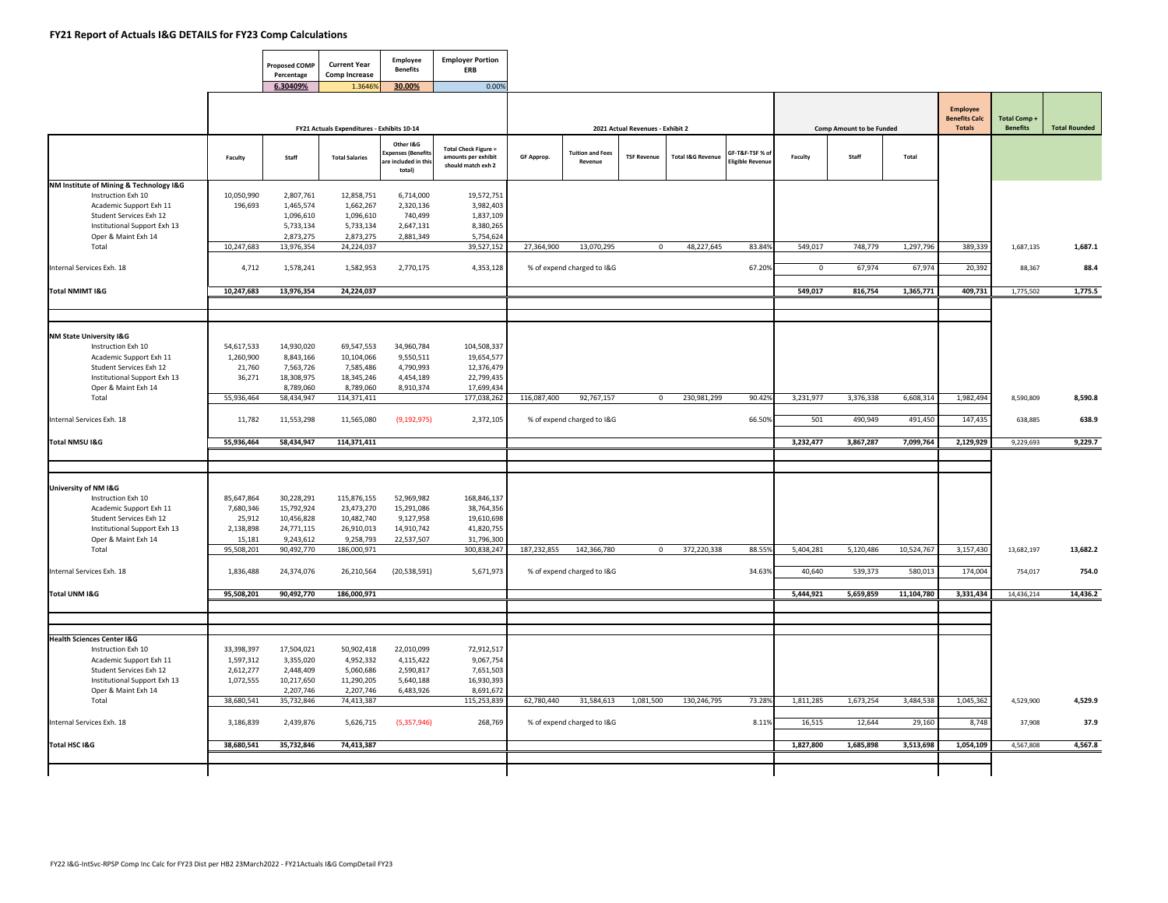$\blacksquare$ 

|                                                         |            | <b>Proposed COMP</b><br>Percentage | <b>Current Year</b><br><b>Comp Increase</b> | Employee<br><b>Benefits</b>                                    | <b>Employer Portion</b><br>ERB                                           |             |                                    |                                  |                              |                                          |             |                                 |            |                                                          |                                |                      |
|---------------------------------------------------------|------------|------------------------------------|---------------------------------------------|----------------------------------------------------------------|--------------------------------------------------------------------------|-------------|------------------------------------|----------------------------------|------------------------------|------------------------------------------|-------------|---------------------------------|------------|----------------------------------------------------------|--------------------------------|----------------------|
|                                                         |            | 6.30409%                           | 1.3646%                                     | 30.00%                                                         | 0.00%                                                                    |             |                                    |                                  |                              |                                          |             |                                 |            |                                                          |                                |                      |
|                                                         |            |                                    | FY21 Actuals Expenditures - Exhibits 10-14  |                                                                |                                                                          |             |                                    | 2021 Actual Revenues - Exhibit 2 |                              |                                          |             | <b>Comp Amount to be Funded</b> |            | <b>Employee</b><br><b>Benefits Calc</b><br><b>Totals</b> | Total Comp+<br><b>Benefits</b> | <b>Total Rounded</b> |
|                                                         |            |                                    |                                             |                                                                |                                                                          |             |                                    |                                  |                              |                                          |             |                                 |            |                                                          |                                |                      |
|                                                         | Faculty    | Staff                              | <b>Total Salaries</b>                       | Other I&G<br>penses (Benefit:<br>re included in this<br>total) | <b>Total Check Figure =</b><br>amounts per exhibit<br>should match exh 2 | GF Approp.  | <b>Tuition and Fees</b><br>Revenue | <b>TSF Revenue</b>               | <b>Total I&amp;G Revenue</b> | GF-T&F-TSF % o<br><b>Eligible Revent</b> | Faculty     | Staff                           | Total      |                                                          |                                |                      |
| NM Institute of Mining & Technology I&G                 |            |                                    |                                             |                                                                |                                                                          |             |                                    |                                  |                              |                                          |             |                                 |            |                                                          |                                |                      |
| Instruction Exh 10                                      | 10,050,990 | 2,807,761                          | 12,858,751                                  | 6,714,000                                                      | 19,572,751                                                               |             |                                    |                                  |                              |                                          |             |                                 |            |                                                          |                                |                      |
| Academic Support Exh 11                                 | 196,693    | 1,465,574                          | 1,662,267                                   | 2.320.136                                                      | 3,982,403                                                                |             |                                    |                                  |                              |                                          |             |                                 |            |                                                          |                                |                      |
| Student Services Exh 12<br>Institutional Support Exh 13 |            | 1,096,610<br>5,733,134             | 1,096,610<br>5,733,134                      | 740,499<br>2,647,131                                           | 1,837,109<br>8,380,265                                                   |             |                                    |                                  |                              |                                          |             |                                 |            |                                                          |                                |                      |
| Oper & Maint Exh 14                                     |            | 2,873,275                          | 2,873,275                                   | 2,881,349                                                      | 5,754,624                                                                |             |                                    |                                  |                              |                                          |             |                                 |            |                                                          |                                |                      |
| Total                                                   | 10,247,683 | 13,976,354                         | 24,224,037                                  |                                                                | 39,527,152                                                               | 27,364,900  | 13,070,295                         | $\mathbf{0}$                     | 48,227,645                   | 83.84%                                   | 549,017     | 748,779                         | 1,297,796  | 389,339                                                  | 1,687,135                      | 1,687.1              |
|                                                         |            |                                    |                                             |                                                                |                                                                          |             |                                    |                                  |                              |                                          |             |                                 |            |                                                          |                                |                      |
| Internal Services Exh. 18                               | 4,712      | 1,578,241                          | 1,582,953                                   | 2,770,175                                                      | 4,353,128                                                                |             | % of expend charged to I&G         |                                  |                              | 67.20%                                   | $\mathbf 0$ | 67,974                          | 67,974     | 20,392                                                   | 88,367                         | 88.4                 |
|                                                         |            |                                    |                                             |                                                                |                                                                          |             |                                    |                                  |                              |                                          |             |                                 |            |                                                          |                                |                      |
| <b>Total NMIMT I&amp;G</b>                              | 10,247,683 | 13,976,354                         | 24,224,037                                  |                                                                |                                                                          |             |                                    |                                  |                              |                                          | 549,017     | 816,754                         | 1,365,771  | 409,731                                                  | 1,775,502                      | 1,775.5              |
|                                                         |            |                                    |                                             |                                                                |                                                                          |             |                                    |                                  |                              |                                          |             |                                 |            |                                                          |                                |                      |
|                                                         |            |                                    |                                             |                                                                |                                                                          |             |                                    |                                  |                              |                                          |             |                                 |            |                                                          |                                |                      |
|                                                         |            |                                    |                                             |                                                                |                                                                          |             |                                    |                                  |                              |                                          |             |                                 |            |                                                          |                                |                      |
| NM State University I&G                                 |            |                                    |                                             |                                                                |                                                                          |             |                                    |                                  |                              |                                          |             |                                 |            |                                                          |                                |                      |
| Instruction Exh 10                                      | 54,617,533 | 14,930,020                         | 69,547,553                                  | 34,960,784                                                     | 104,508,337                                                              |             |                                    |                                  |                              |                                          |             |                                 |            |                                                          |                                |                      |
| Academic Support Exh 11                                 | 1,260,900  | 8,843,166                          | 10,104,066                                  | 9,550,511                                                      | 19,654,577                                                               |             |                                    |                                  |                              |                                          |             |                                 |            |                                                          |                                |                      |
| Student Services Exh 12                                 | 21,760     | 7,563,726                          | 7,585,486                                   | 4,790,993                                                      | 12,376,479                                                               |             |                                    |                                  |                              |                                          |             |                                 |            |                                                          |                                |                      |
| Institutional Support Exh 13                            | 36,271     | 18,308,975                         | 18,345,246                                  | 4,454,189                                                      | 22,799,435<br>17,699,434                                                 |             |                                    |                                  |                              |                                          |             |                                 |            |                                                          |                                |                      |
| Oper & Maint Exh 14<br>Total                            | 55,936,464 | 8,789,060<br>58,434,947            | 8,789,060<br>114,371,411                    | 8,910,374                                                      | 177,038,262                                                              | 116,087,400 | 92,767,157                         | $\Omega$                         | 230,981,299                  | 90.42%                                   | 3,231,977   | 3,376,338                       | 6,608,314  | 1,982,494                                                | 8,590,809                      | 8,590.8              |
|                                                         |            |                                    |                                             |                                                                |                                                                          |             |                                    |                                  |                              |                                          |             |                                 |            |                                                          |                                |                      |
| Internal Services Exh. 18                               | 11,782     | 11,553,298                         | 11,565,080                                  | (9, 192, 975)                                                  | 2,372,105                                                                |             | % of expend charged to I&G         |                                  |                              | 66.50%                                   | 501         | 490,949                         | 491,450    | 147,435                                                  | 638,885                        | 638.9                |
|                                                         |            |                                    |                                             |                                                                |                                                                          |             |                                    |                                  |                              |                                          |             |                                 |            |                                                          |                                |                      |
| Total NMSU I&G                                          | 55,936,464 | 58,434,947                         | 114,371,411                                 |                                                                |                                                                          |             |                                    |                                  |                              |                                          | 3,232,477   | 3,867,287                       | 7,099,764  | 2,129,929                                                | 9,229,693                      | 9,229.7              |
|                                                         |            |                                    |                                             |                                                                |                                                                          |             |                                    |                                  |                              |                                          |             |                                 |            |                                                          |                                |                      |
|                                                         |            |                                    |                                             |                                                                |                                                                          |             |                                    |                                  |                              |                                          |             |                                 |            |                                                          |                                |                      |
|                                                         |            |                                    |                                             |                                                                |                                                                          |             |                                    |                                  |                              |                                          |             |                                 |            |                                                          |                                |                      |
| University of NM I&G                                    |            |                                    |                                             |                                                                |                                                                          |             |                                    |                                  |                              |                                          |             |                                 |            |                                                          |                                |                      |
| Instruction Exh 10                                      | 85,647,864 | 30,228,291                         | 115,876,155                                 | 52,969,982                                                     | 168,846,137                                                              |             |                                    |                                  |                              |                                          |             |                                 |            |                                                          |                                |                      |
| Academic Support Exh 11                                 | 7,680,346  | 15,792,924                         | 23,473,270                                  | 15,291,086                                                     | 38,764,356                                                               |             |                                    |                                  |                              |                                          |             |                                 |            |                                                          |                                |                      |
| Student Services Exh 12                                 | 25,912     | 10,456,828                         | 10,482,740                                  | 9,127,958                                                      | 19,610,698                                                               |             |                                    |                                  |                              |                                          |             |                                 |            |                                                          |                                |                      |
| Institutional Support Exh 13                            | 2,138,898  | 24,771,115                         | 26,910,013                                  | 14,910,742                                                     | 41,820,755                                                               |             |                                    |                                  |                              |                                          |             |                                 |            |                                                          |                                |                      |
| Oper & Maint Exh 14                                     | 15,181     | 9,243,612                          | 9,258,793                                   | 22,537,507                                                     | 31,796,300                                                               |             |                                    |                                  |                              |                                          |             |                                 |            |                                                          |                                |                      |
| Total                                                   | 95,508,201 | 90,492,770                         | 186,000,971                                 |                                                                | 300,838,247                                                              | 187,232,855 | 142,366,780                        | $\mathbf 0$                      | 372,220,338                  | 88.559                                   | 5,404,281   | 5,120,486                       | 10,524,767 | 3,157,430                                                | 13,682,197                     | 13,682.2             |
| Internal Services Exh. 18                               |            | 24,374,076                         |                                             |                                                                |                                                                          |             |                                    |                                  |                              | 34.639                                   | 40,640      | 539,373                         | 580,013    | 174,004                                                  | 754,017                        | 754.0                |
|                                                         | 1,836,488  |                                    | 26,210,564                                  | (20, 538, 591)                                                 | 5,671,973                                                                |             | % of expend charged to I&G         |                                  |                              |                                          |             |                                 |            |                                                          |                                |                      |
| Total UNM I&G                                           | 95,508,201 | 90,492,770                         | 186,000,971                                 |                                                                |                                                                          |             |                                    |                                  |                              |                                          | 5,444,921   | 5,659,859                       | 11,104,780 | 3,331,434                                                | 14,436,214                     | 14,436.2             |
|                                                         |            |                                    |                                             |                                                                |                                                                          |             |                                    |                                  |                              |                                          |             |                                 |            |                                                          |                                |                      |
|                                                         |            |                                    |                                             |                                                                |                                                                          |             |                                    |                                  |                              |                                          |             |                                 |            |                                                          |                                |                      |
|                                                         |            |                                    |                                             |                                                                |                                                                          |             |                                    |                                  |                              |                                          |             |                                 |            |                                                          |                                |                      |
| <b>Health Sciences Center I&amp;G</b>                   |            |                                    |                                             |                                                                |                                                                          |             |                                    |                                  |                              |                                          |             |                                 |            |                                                          |                                |                      |
| Instruction Exh 10                                      | 33,398,397 | 17,504,021                         | 50,902,418                                  | 22,010,099                                                     | 72,912,517                                                               |             |                                    |                                  |                              |                                          |             |                                 |            |                                                          |                                |                      |
| Academic Support Exh 11                                 | 1,597,312  | 3,355,020                          | 4,952,332                                   | 4,115,422                                                      | 9,067,754                                                                |             |                                    |                                  |                              |                                          |             |                                 |            |                                                          |                                |                      |
| Student Services Exh 12                                 | 2,612,277  | 2,448,409                          | 5,060,686                                   | 2,590,817                                                      | 7,651,503                                                                |             |                                    |                                  |                              |                                          |             |                                 |            |                                                          |                                |                      |
| Institutional Support Exh 13                            | 1,072,555  | 10,217,650                         | 11,290,205                                  | 5,640,188                                                      | 16,930,393                                                               |             |                                    |                                  |                              |                                          |             |                                 |            |                                                          |                                |                      |
| Oper & Maint Exh 14                                     |            | 2,207,746                          | 2,207,746                                   | 6,483,926                                                      | 8,691,672                                                                |             |                                    |                                  |                              |                                          |             |                                 |            |                                                          |                                |                      |
| Total                                                   | 38,680,541 | 35,732,846                         | 74,413,387                                  |                                                                | 115,253,839                                                              | 62,780,440  | 31,584,613                         | 1,081,500                        | 130,246,795                  | 73.28%                                   | 1,811,285   | 1,673,254                       | 3,484,538  | 1,045,362                                                | 4,529,900                      | 4,529.9              |
|                                                         |            |                                    |                                             |                                                                |                                                                          |             |                                    |                                  |                              |                                          |             |                                 |            |                                                          |                                |                      |
| Internal Services Exh. 18                               | 3,186,839  | 2,439,876                          | 5,626,715                                   | (5,357,946)                                                    | 268,769                                                                  |             | % of expend charged to I&G         |                                  |                              | 8.11%                                    | 16,515      | 12,644                          | 29,160     | 8,748                                                    | 37,908                         | 37.9                 |
|                                                         |            |                                    |                                             |                                                                |                                                                          |             |                                    |                                  |                              |                                          |             |                                 |            |                                                          |                                |                      |
| Total HSC I&G                                           | 38,680,541 | 35,732,846                         | 74,413,387                                  |                                                                |                                                                          |             |                                    |                                  |                              |                                          | 1,827,800   | 1,685,898                       | 3,513,698  | 1,054,109                                                | 4,567,808                      | 4,567.8              |
|                                                         |            |                                    |                                             |                                                                |                                                                          |             |                                    |                                  |                              |                                          |             |                                 |            |                                                          |                                |                      |
|                                                         |            |                                    |                                             |                                                                |                                                                          |             |                                    |                                  |                              |                                          |             |                                 |            |                                                          |                                |                      |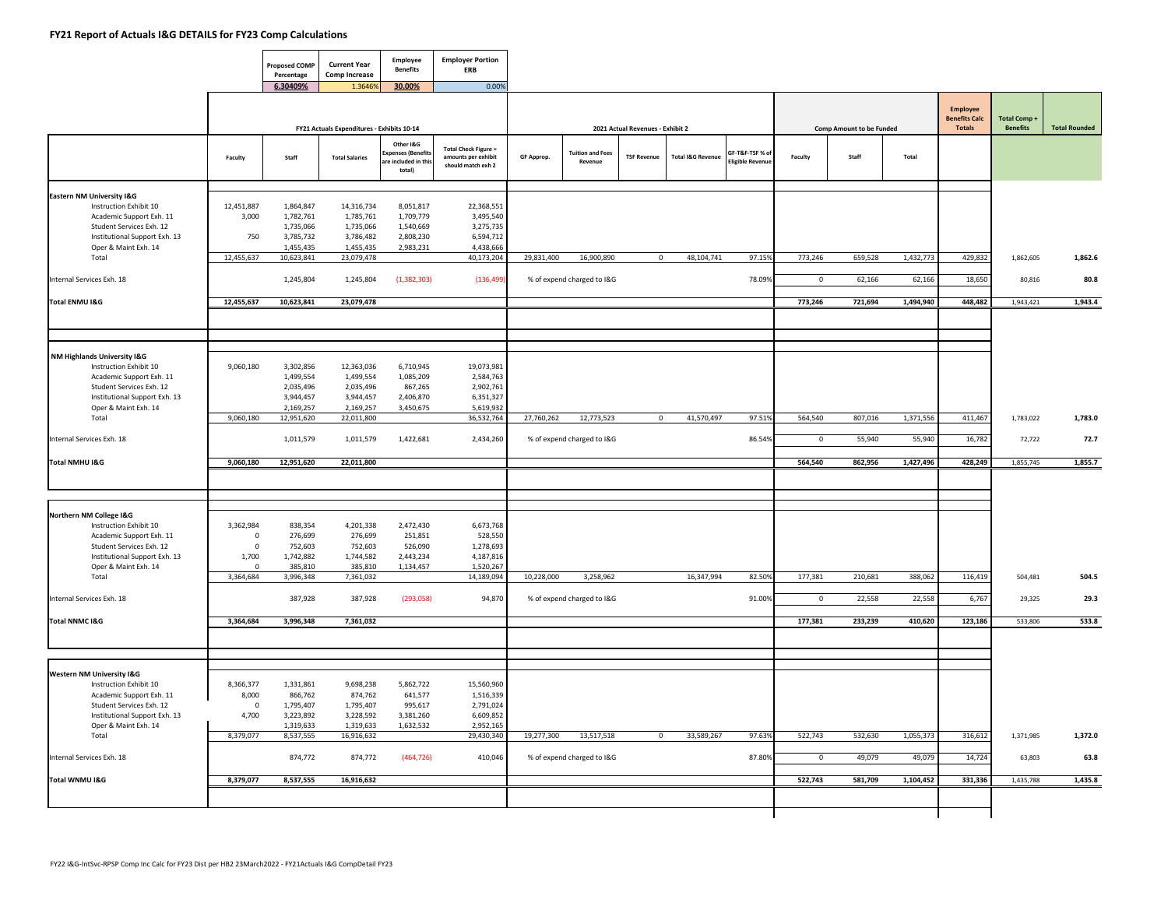|                                                                                                                                                                               |                                                       | <b>Proposed COMP</b><br>Percentage                                       | <b>Current Year</b><br><b>Comp Increase</b>                               | <b>Employee</b><br><b>Benefits</b>                               | <b>Employer Portion</b><br><b>ERB</b>                                        |            |                                          |                                  |                              |                                            |                        |                                 |                     |                                                          |                                       |                      |
|-------------------------------------------------------------------------------------------------------------------------------------------------------------------------------|-------------------------------------------------------|--------------------------------------------------------------------------|---------------------------------------------------------------------------|------------------------------------------------------------------|------------------------------------------------------------------------------|------------|------------------------------------------|----------------------------------|------------------------------|--------------------------------------------|------------------------|---------------------------------|---------------------|----------------------------------------------------------|---------------------------------------|----------------------|
|                                                                                                                                                                               |                                                       | 6.30409%                                                                 | 1.36469<br>FY21 Actuals Expenditures - Exhibits 10-14                     | 30.00%                                                           | 0.00%                                                                        |            |                                          | 2021 Actual Revenues - Exhibit 2 |                              |                                            |                        | <b>Comp Amount to be Funded</b> |                     | <b>Employee</b><br><b>Benefits Calc</b><br><b>Totals</b> | <b>Total Comp+</b><br><b>Benefits</b> | <b>Total Rounded</b> |
|                                                                                                                                                                               | Faculty                                               | Staff                                                                    | <b>Total Salaries</b>                                                     | Other I&G<br>xpenses (Benefit:<br>are included in thi:<br>total) | <b>Total Check Figure =</b><br>amounts per exhibit<br>should match exh 2     | GF Approp. | <b>Tuition and Fees</b><br>Revenue       | <b>TSF Revenue</b>               | <b>Total I&amp;G Revenue</b> | GF-T&F-TSF % of<br><b>Eligible Revenue</b> | Faculty                | Staff                           | Total               |                                                          |                                       |                      |
| <b>Eastern NM University I&amp;G</b><br>Instruction Exhibit 10<br>Academic Support Exh. 11<br>Student Services Exh. 12<br>Institutional Support Exh. 13                       | 12,451,887<br>3,000<br>750                            | 1,864,847<br>1,782,761<br>1,735,066<br>3,785,732                         | 14,316,734<br>1,785,761<br>1,735,066<br>3,786,482                         | 8,051,817<br>1,709,779<br>1,540,669<br>2,808,230                 | 22,368,551<br>3,495,540<br>3,275,735<br>6,594,712                            |            |                                          |                                  |                              |                                            |                        |                                 |                     |                                                          |                                       |                      |
| Oper & Maint Exh. 14<br>Total<br>Internal Services Exh. 18                                                                                                                    | 12,455,637                                            | 1,455,435<br>10,623,841<br>1,245,804                                     | 1,455,435<br>23,079,478<br>1,245,804                                      | 2,983,231<br>(1,382,303)                                         | 4,438,666<br>40,173,204<br>(136, 499)                                        | 29,831,400 | 16,900,890<br>% of expend charged to I&G | $\mathbf 0$                      | 48,104,741                   | 97.15%<br>78.09%                           | 773,246<br>0           | 659,528<br>62,166               | 1,432,773<br>62,166 | 429,832<br>18,650                                        | 1,862,605<br>80,816                   | 1,862.6<br>80.8      |
| Total ENMU I&G                                                                                                                                                                | 12,455,637                                            | 10,623,841                                                               | 23,079,478                                                                |                                                                  |                                                                              |            |                                          |                                  |                              |                                            | 773,246                | 721,694                         | 1,494,940           | 448,482                                                  | 1,943,421                             | 1,943.4              |
| NM Highlands University I&G<br>Instruction Exhibit 10<br>Academic Support Exh. 11<br>Student Services Exh. 12<br>Institutional Support Exh. 13                                | 9,060,180                                             | 3,302,856<br>1,499,554<br>2,035,496<br>3,944,457                         | 12,363,036<br>1,499,554<br>2,035,496<br>3,944,457                         | 6,710,945<br>1,085,209<br>867,265<br>2,406,870                   | 19,073,981<br>2,584,763<br>2,902,761<br>6,351,327                            |            |                                          |                                  |                              |                                            |                        |                                 |                     |                                                          |                                       |                      |
| Oper & Maint Exh. 14<br>Total<br>Internal Services Exh. 18                                                                                                                    | 9,060,180                                             | 2,169,257<br>12,951,620<br>1,011,579                                     | 2,169,257<br>22,011,800<br>1,011,579                                      | 3,450,675<br>1,422,681                                           | 5,619,932<br>36,532,764<br>2,434,260                                         | 27,760,262 | 12,773,523<br>% of expend charged to I&G | $\mathbf 0$                      | 41,570,497                   | 97.51%<br>86.54%                           | 564,540<br>$\mathbf 0$ | 807,016<br>55,940               | 1,371,556<br>55,940 | 411,467<br>16,782                                        | 1,783,022<br>72,722                   | 1,783.0<br>72.7      |
| Total NMHU I&G                                                                                                                                                                | 9,060,180                                             | 12,951,620                                                               | 22,011,800                                                                |                                                                  |                                                                              |            |                                          |                                  |                              |                                            | 564,540                | 862,956                         | 1,427,496           | 428,249                                                  | 1,855,745                             | 1,855.7              |
| Northern NM College I&G<br>Instruction Exhibit 10<br>Academic Support Exh. 11<br>Student Services Exh. 12<br>Institutional Support Exh. 13<br>Oper & Maint Exh. 14            | 3,362,984<br>$\mathbf 0$<br>$\mathbf 0$<br>1,700<br>0 | 838,354<br>276,699<br>752,603<br>1,742,882<br>385,810                    | 4,201,338<br>276,699<br>752,603<br>1,744,582<br>385,810                   | 2,472,430<br>251,851<br>526,090<br>2,443,234<br>1,134,457        | 6,673,768<br>528,550<br>1,278,693<br>4,187,816<br>1,520,267                  |            |                                          |                                  |                              |                                            |                        |                                 |                     |                                                          |                                       |                      |
| Total<br>Internal Services Exh. 18                                                                                                                                            | 3,364,684                                             | 3,996,348<br>387,928                                                     | 7,361,032<br>387,928                                                      | (293,058)                                                        | 14,189,094<br>94,870                                                         | 10,228,000 | 3,258,962<br>% of expend charged to I&G  |                                  | 16,347,994                   | 82.50%<br>91.00%                           | 177,381<br>$\mathbf 0$ | 210,681<br>22,558               | 388,062<br>22,558   | 116,419<br>6,767                                         | 504,481<br>29,325                     | 504.5<br>29.3        |
| Total NNMC I&G                                                                                                                                                                | 3,364,684                                             | 3,996,348                                                                | 7,361,032                                                                 |                                                                  |                                                                              |            |                                          |                                  |                              |                                            | 177,381                | 233,239                         | 410,620             | 123,186                                                  | 533,806                               | 533.8                |
| Western NM University I&G<br>Instruction Exhibit 10<br>Academic Support Exh. 11<br>Student Services Exh. 12<br>Institutional Support Exh. 13<br>Oper & Maint Exh. 14<br>Total | 8,366,377<br>8,000<br>$\Omega$<br>4,700<br>8,379,077  | 1,331,861<br>866,762<br>1,795,407<br>3,223,892<br>1,319,633<br>8,537,555 | 9,698,238<br>874,762<br>1,795,407<br>3,228,592<br>1,319,633<br>16,916,632 | 5,862,722<br>641,577<br>995,617<br>3,381,260<br>1,632,532        | 15,560,960<br>1,516,339<br>2,791,024<br>6,609,852<br>2,952,165<br>29,430,340 | 19,277,300 | 13,517,518                               | $\mathbf 0$                      | 33,589,267                   | 97.63%                                     | 522,743                | 532,630                         | 1,055,373           | 316,612                                                  | 1,371,985                             | 1,372.0              |
| Internal Services Exh. 18                                                                                                                                                     |                                                       | 874,772                                                                  | 874,772                                                                   | (464, 726)                                                       | 410,046                                                                      |            | % of expend charged to I&G               |                                  |                              | 87.80%                                     | $\mathbf 0$            | 49,079                          | 49,079              | 14,724                                                   | 63,803                                | 63.8                 |
| Total WNMU I&G                                                                                                                                                                | 8,379,077                                             | 8,537,555                                                                | 16,916,632                                                                |                                                                  |                                                                              |            |                                          |                                  |                              |                                            | 522,743                | 581,709                         | 1,104,452           | 331,336                                                  | 1,435,788                             | 1,435.8              |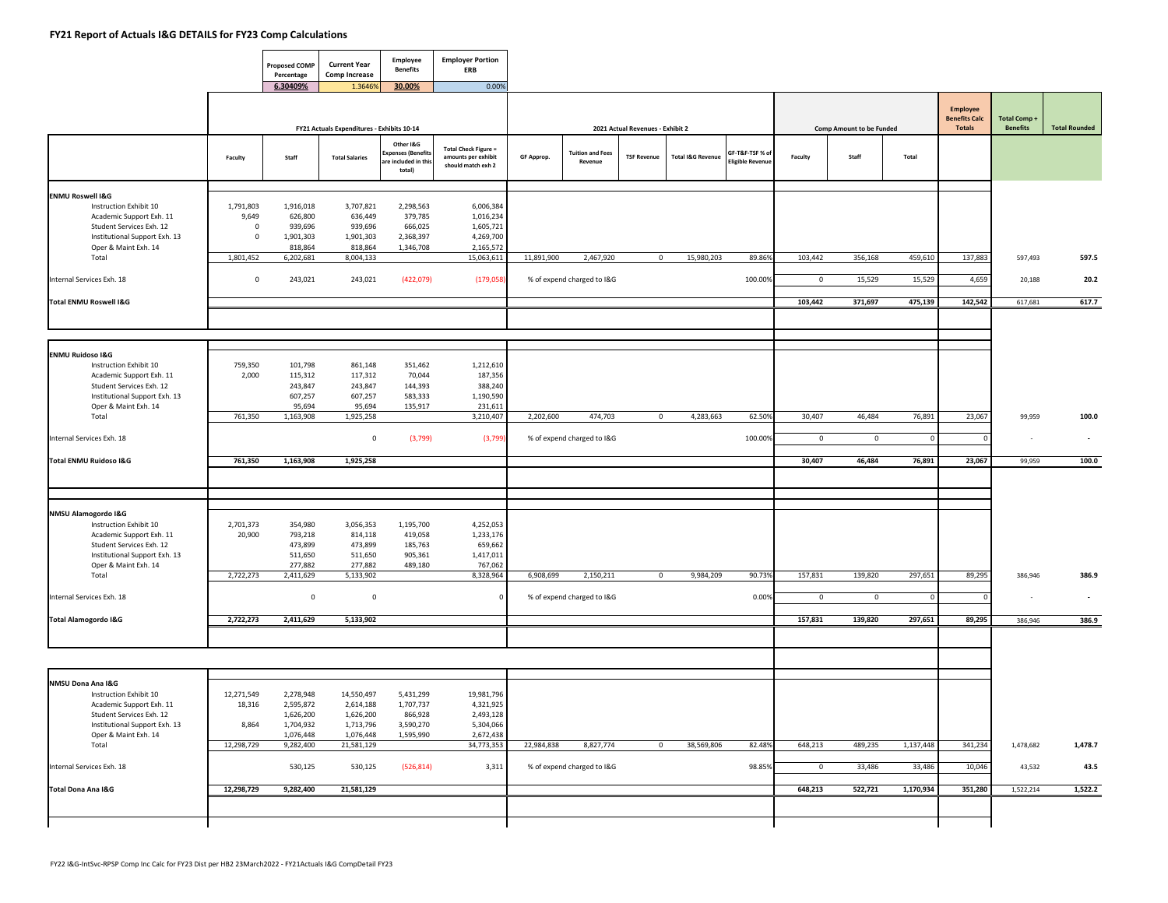$\blacksquare$ 

┱

┯

|                                                       |                | <b>Proposed COMP</b><br>Percentage | <b>Current Year</b><br>Comp Increase       | Employee<br><b>Benefits</b>                                  | <b>Employer Portion</b><br>ERB                                           |            |                                    |                                  |                              |                                          |             |                          |             |                                                   |                                       |                          |
|-------------------------------------------------------|----------------|------------------------------------|--------------------------------------------|--------------------------------------------------------------|--------------------------------------------------------------------------|------------|------------------------------------|----------------------------------|------------------------------|------------------------------------------|-------------|--------------------------|-------------|---------------------------------------------------|---------------------------------------|--------------------------|
|                                                       |                | 6.30409%                           | 1.36469                                    | 30.00%                                                       | 0.00%                                                                    |            |                                    |                                  |                              |                                          |             |                          |             |                                                   |                                       |                          |
|                                                       |                |                                    | FY21 Actuals Expenditures - Exhibits 10-14 |                                                              |                                                                          |            |                                    | 2021 Actual Revenues - Exhibit 2 |                              |                                          |             | Comp Amount to be Funded |             | Employee<br><b>Benefits Calc</b><br><b>Totals</b> | <b>Total Comp+</b><br><b>Benefits</b> | <b>Total Rounded</b>     |
|                                                       |                |                                    |                                            |                                                              |                                                                          |            |                                    |                                  |                              |                                          |             |                          |             |                                                   |                                       |                          |
|                                                       | Faculty        | Staff                              | <b>Total Salaries</b>                      | Other I&G<br>penses (Benefit<br>re included in thi<br>total) | <b>Total Check Figure =</b><br>amounts per exhibit<br>should match exh 2 | GF Approp. | <b>Tuition and Fees</b><br>Revenue | <b>TSF Revenue</b>               | <b>Total I&amp;G Revenue</b> | GF-T&F-TSF % o<br><b>Eligible Revenu</b> | Faculty     | Staff                    | Total       |                                                   |                                       |                          |
| <b>ENMU Roswell I&amp;G</b>                           |                |                                    |                                            |                                                              |                                                                          |            |                                    |                                  |                              |                                          |             |                          |             |                                                   |                                       |                          |
| Instruction Exhibit 10                                | 1,791,803      | 1,916,018                          | 3,707,821                                  | 2,298,563                                                    | 6,006,384                                                                |            |                                    |                                  |                              |                                          |             |                          |             |                                                   |                                       |                          |
| Academic Support Exh. 11                              | 9,649          | 626,800                            | 636,449                                    | 379,785                                                      | 1,016,234                                                                |            |                                    |                                  |                              |                                          |             |                          |             |                                                   |                                       |                          |
| Student Services Exh. 12                              | $\overline{0}$ | 939,696                            | 939,696                                    | 666,025                                                      | 1,605,721                                                                |            |                                    |                                  |                              |                                          |             |                          |             |                                                   |                                       |                          |
| Institutional Support Exh. 13<br>Oper & Maint Exh. 14 | $\mathbf 0$    | 1,901,303                          | 1,901,303<br>818,864                       | 2,368,397                                                    | 4,269,700                                                                |            |                                    |                                  |                              |                                          |             |                          |             |                                                   |                                       |                          |
| Total                                                 | 1,801,452      | 818,864<br>6,202,681               | 8,004,133                                  | 1,346,708                                                    | 2,165,572<br>15,063,611                                                  | 11,891,900 | 2,467,920                          |                                  | 15,980,203<br>$\overline{0}$ | 89.86%                                   | 103,442     | 356,168                  | 459,610     | 137,883                                           | 597,493                               | 597.5                    |
|                                                       |                |                                    |                                            |                                                              |                                                                          |            |                                    |                                  |                              |                                          |             |                          |             |                                                   |                                       |                          |
| Internal Services Exh. 18                             | $\mathbf 0$    | 243,021                            | 243,021                                    | (422,079)                                                    | (179,058)                                                                |            | % of expend charged to I&G         |                                  |                              | 100.00%                                  | $\mathbf 0$ | 15,529                   | 15,529      | 4,659                                             | 20,188                                | 20.2                     |
| <b>Total ENMU Roswell I&amp;G</b>                     |                |                                    |                                            |                                                              |                                                                          |            |                                    |                                  |                              |                                          | 103,442     | 371,697                  | 475,139     | 142,542                                           |                                       |                          |
|                                                       |                |                                    |                                            |                                                              |                                                                          |            |                                    |                                  |                              |                                          |             |                          |             |                                                   | 617,681                               | 617.7                    |
|                                                       |                |                                    |                                            |                                                              |                                                                          |            |                                    |                                  |                              |                                          |             |                          |             |                                                   |                                       |                          |
|                                                       |                |                                    |                                            |                                                              |                                                                          |            |                                    |                                  |                              |                                          |             |                          |             |                                                   |                                       |                          |
| <b>ENMU Ruidoso I&amp;G</b>                           |                |                                    |                                            |                                                              |                                                                          |            |                                    |                                  |                              |                                          |             |                          |             |                                                   |                                       |                          |
| Instruction Exhibit 10                                | 759,350        | 101,798                            | 861,148                                    | 351,462                                                      | 1,212,610                                                                |            |                                    |                                  |                              |                                          |             |                          |             |                                                   |                                       |                          |
| Academic Support Exh. 11<br>Student Services Exh. 12  | 2,000          | 115,312<br>243,847                 | 117,312<br>243,847                         | 70,044<br>144,393                                            | 187,356<br>388,240                                                       |            |                                    |                                  |                              |                                          |             |                          |             |                                                   |                                       |                          |
| Institutional Support Exh. 13                         |                | 607,257                            | 607,257                                    | 583,333                                                      | 1,190,590                                                                |            |                                    |                                  |                              |                                          |             |                          |             |                                                   |                                       |                          |
| Oper & Maint Exh. 14                                  |                | 95.694                             | 95,694                                     | 135,917                                                      | 231,611                                                                  |            |                                    |                                  |                              |                                          |             |                          |             |                                                   |                                       |                          |
| Total                                                 | 761,350        | 1,163,908                          | 1,925,258                                  |                                                              | 3,210,407                                                                | 2,202,600  | 474,703                            |                                  | 4,283,663<br>$\overline{0}$  | 62.50%                                   | 30,407      | 46,484                   | 76,891      | 23,067                                            | 99,959                                | 100.0                    |
| Internal Services Exh. 18                             |                |                                    | $\mathbf 0$                                | (3,799)                                                      | (3,799)                                                                  |            | % of expend charged to I&G         |                                  |                              | 100.00%                                  | $\mathbf 0$ | $\overline{0}$           | $\Omega$    | $\Omega$                                          | $\sim$                                | $\sim$                   |
|                                                       |                |                                    |                                            |                                                              |                                                                          |            |                                    |                                  |                              |                                          |             |                          |             |                                                   |                                       |                          |
| Total ENMU Ruidoso I&G                                | 761,350        | 1,163,908                          | 1,925,258                                  |                                                              |                                                                          |            |                                    |                                  |                              |                                          | 30,407      | 46,484                   | 76,891      | 23,067                                            | 99,959                                | 100.0                    |
|                                                       |                |                                    |                                            |                                                              |                                                                          |            |                                    |                                  |                              |                                          |             |                          |             |                                                   |                                       |                          |
|                                                       |                |                                    |                                            |                                                              |                                                                          |            |                                    |                                  |                              |                                          |             |                          |             |                                                   |                                       |                          |
| NMSU Alamogordo I&G<br>Instruction Exhibit 10         | 2,701,373      | 354,980                            | 3,056,353                                  | 1,195,700                                                    | 4,252,053                                                                |            |                                    |                                  |                              |                                          |             |                          |             |                                                   |                                       |                          |
| Academic Support Exh. 11                              | 20,900         | 793,218                            | 814,118                                    | 419,058                                                      | 1,233,176                                                                |            |                                    |                                  |                              |                                          |             |                          |             |                                                   |                                       |                          |
| Student Services Exh. 12                              |                | 473,899                            | 473,899                                    | 185,763                                                      | 659,662                                                                  |            |                                    |                                  |                              |                                          |             |                          |             |                                                   |                                       |                          |
| Institutional Support Exh. 13                         |                | 511,650                            | 511,650                                    | 905,361                                                      | 1,417,011                                                                |            |                                    |                                  |                              |                                          |             |                          |             |                                                   |                                       |                          |
| Oper & Maint Exh. 14                                  |                | 277,882                            | 277,882                                    | 489,180                                                      | 767,062                                                                  |            |                                    |                                  |                              |                                          |             |                          |             |                                                   |                                       |                          |
| Total                                                 | 2,722,273      | 2,411,629                          | 5,133,902                                  |                                                              | 8,328,964                                                                | 6,908,699  | 2,150,211                          |                                  | $\overline{0}$<br>9,984,209  | 90.73%                                   | 157,831     | 139,820                  | 297,651     | 89,295                                            | 386,946                               | 386.9                    |
| Internal Services Exh. 18                             |                | $\mathsf{O}\xspace$                | $\mathbf 0$                                |                                                              | $\Omega$                                                                 |            | % of expend charged to I&G         |                                  |                              | 0.00%                                    | $^{\circ}$  | $^{\circ}$               | $\mathbf 0$ | $\mathbf 0$                                       |                                       | $\overline{\phantom{a}}$ |
| <b>Total Alamogordo I&amp;G</b>                       | 2,722,273      | 2,411,629                          | 5,133,902                                  |                                                              |                                                                          |            |                                    |                                  |                              |                                          | 157,831     | 139,820                  | 297,651     | 89,295                                            | 386,946                               | 386.9                    |
|                                                       |                |                                    |                                            |                                                              |                                                                          |            |                                    |                                  |                              |                                          |             |                          |             |                                                   |                                       |                          |
|                                                       |                |                                    |                                            |                                                              |                                                                          |            |                                    |                                  |                              |                                          |             |                          |             |                                                   |                                       |                          |
|                                                       |                |                                    |                                            |                                                              |                                                                          |            |                                    |                                  |                              |                                          |             |                          |             |                                                   |                                       |                          |
| NMSU Dona Ana I&G<br>Instruction Exhibit 10           | 12,271,549     | 2,278,948                          | 14,550,497                                 | 5,431,299                                                    | 19,981,796                                                               |            |                                    |                                  |                              |                                          |             |                          |             |                                                   |                                       |                          |
| Academic Support Exh. 11                              | 18,316         | 2,595,872                          | 2,614,188                                  | 1,707,737                                                    | 4,321,925                                                                |            |                                    |                                  |                              |                                          |             |                          |             |                                                   |                                       |                          |
| Student Services Exh. 12                              |                | 1,626,200                          | 1,626,200                                  | 866,928                                                      | 2,493,128                                                                |            |                                    |                                  |                              |                                          |             |                          |             |                                                   |                                       |                          |
| Institutional Support Exh. 13                         | 8,864          | 1,704,932                          | 1,713,796                                  | 3,590,270                                                    | 5,304,066                                                                |            |                                    |                                  |                              |                                          |             |                          |             |                                                   |                                       |                          |
| Oper & Maint Exh. 14                                  |                | 1,076,448                          | 1,076,448                                  | 1,595,990                                                    | 2,672,438                                                                |            |                                    |                                  |                              |                                          |             |                          |             |                                                   |                                       |                          |
| Total                                                 | 12,298,729     | 9,282,400                          | 21,581,129                                 |                                                              | 34,773,353                                                               | 22,984,838 | 8,827,774                          |                                  | 38,569,806<br>$\mathsf 0$    | 82.48%                                   | 648,213     | 489,235                  | 1,137,448   | 341,234                                           | 1,478,682                             | 1,478.7                  |
| Internal Services Exh. 18                             |                | 530,125                            | 530,125                                    | (526, 814)                                                   | 3,311                                                                    |            | % of expend charged to I&G         |                                  |                              | 98.85%                                   | $\circ$     | 33,486                   | 33,486      | 10,046                                            | 43,532                                | 43.5                     |
| Total Dona Ana I&G                                    | 12,298,729     | 9,282,400                          | 21,581,129                                 |                                                              |                                                                          |            |                                    |                                  |                              |                                          | 648,213     | 522,721                  | 1,170,934   | 351,280                                           | 1,522,214                             | 1,522.2                  |
|                                                       |                |                                    |                                            |                                                              |                                                                          |            |                                    |                                  |                              |                                          |             |                          |             |                                                   |                                       |                          |
|                                                       |                |                                    |                                            |                                                              |                                                                          |            |                                    |                                  |                              |                                          |             |                          |             |                                                   |                                       |                          |
|                                                       |                |                                    |                                            |                                                              |                                                                          |            |                                    |                                  |                              |                                          |             |                          |             |                                                   |                                       |                          |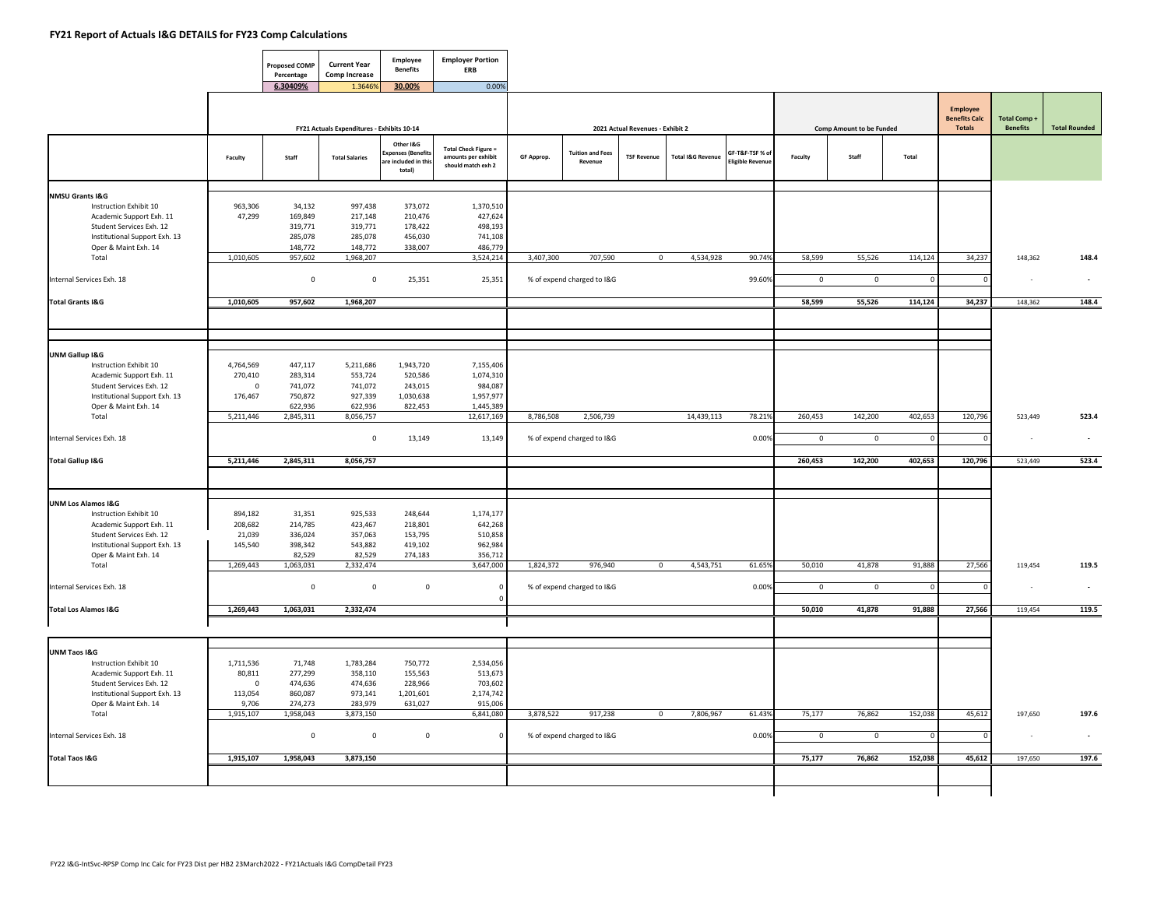|                                                                                                                                                         |                                                        | <b>Proposed COMP</b><br>Percentage                 | <b>Current Year</b><br><b>Comp Increase</b>                         | Employee<br><b>Benefits</b>                                     | <b>Employer Portion</b><br>ERB                                           |            |                                       |                                  |                              |                                            |                       |                                 |                        |                                            |                                       |                          |
|---------------------------------------------------------------------------------------------------------------------------------------------------------|--------------------------------------------------------|----------------------------------------------------|---------------------------------------------------------------------|-----------------------------------------------------------------|--------------------------------------------------------------------------|------------|---------------------------------------|----------------------------------|------------------------------|--------------------------------------------|-----------------------|---------------------------------|------------------------|--------------------------------------------|---------------------------------------|--------------------------|
|                                                                                                                                                         |                                                        | 6.30409%                                           | 1.3646%                                                             | 30.00%                                                          | 0.00%                                                                    |            |                                       | 2021 Actual Revenues - Exhibit 2 |                              |                                            |                       | <b>Comp Amount to be Funded</b> |                        | Employee<br><b>Benefits Calc</b><br>Totals | <b>Total Comp+</b><br><b>Benefits</b> | <b>Total Rounded</b>     |
|                                                                                                                                                         | Faculty                                                | Staff                                              | FY21 Actuals Expenditures - Exhibits 10-14<br><b>Total Salaries</b> | Other I&G<br>Expenses (Benefit<br>are included in thi<br>total) | <b>Total Check Figure =</b><br>amounts per exhibit<br>should match exh 2 | GF Approp. | <b>Tuition and Fees</b><br>Revenue    | <b>TSF Revenue</b>               | <b>Total I&amp;G Revenue</b> | GF-T&F-TSF % of<br><b>Eligible Revenue</b> | Faculty               | Staff                           | Total                  |                                            |                                       |                          |
| <b>NMSU Grants I&amp;G</b>                                                                                                                              |                                                        |                                                    |                                                                     |                                                                 |                                                                          |            |                                       |                                  |                              |                                            |                       |                                 |                        |                                            |                                       |                          |
| Instruction Exhibit 10<br>Academic Support Exh. 11<br>Student Services Exh. 12<br>Institutional Support Exh. 13<br>Oper & Maint Exh. 14                 | 963,306<br>47,299                                      | 34,132<br>169,849<br>319,771<br>285,078<br>148,772 | 997,438<br>217,148<br>319,771<br>285,078<br>148,772                 | 373,072<br>210,476<br>178,422<br>456,030<br>338,007             | 1,370,510<br>427,624<br>498,193<br>741,108<br>486,779                    |            |                                       |                                  |                              |                                            |                       |                                 |                        |                                            |                                       |                          |
| Total                                                                                                                                                   | 1,010,605                                              | 957,602                                            | 1,968,207                                                           |                                                                 | 3,524,214                                                                | 3,407,300  | 707,590                               | $\mathbf 0$                      | 4,534,928                    | 90.74%                                     | 58,599                | 55,526                          | 114,124                | 34,237                                     | 148,362                               | 148.4                    |
| Internal Services Exh. 18                                                                                                                               |                                                        | $\mathsf 0$                                        | $\mathbf 0$                                                         | 25,351                                                          | 25,351                                                                   |            | % of expend charged to I&G            |                                  |                              | 99.60%                                     | $\mathsf{O}\xspace$   | $\mathbf 0$                     | $\Omega$               |                                            |                                       |                          |
| <b>Total Grants I&amp;G</b>                                                                                                                             | 1,010,605                                              | 957,602                                            | 1,968,207                                                           |                                                                 |                                                                          |            |                                       |                                  |                              |                                            | 58,599                | 55,526                          | 114,124                | 34,237                                     | 148,362                               | 148.4                    |
|                                                                                                                                                         |                                                        |                                                    |                                                                     |                                                                 |                                                                          |            |                                       |                                  |                              |                                            |                       |                                 |                        |                                            |                                       |                          |
| UNM Gallup I&G<br>Instruction Exhibit 10<br>Academic Support Exh. 11<br>Student Services Exh. 12<br>Institutional Support Exh. 13                       | 4,764,569<br>270,410<br>$\Omega$<br>176,467            | 447,117<br>283,314<br>741,072<br>750,872           | 5,211,686<br>553,724<br>741,072<br>927,339                          | 1,943,720<br>520,586<br>243,015<br>1,030,638                    | 7,155,406<br>1,074,310<br>984,087<br>1,957,977                           |            |                                       |                                  |                              |                                            |                       |                                 |                        |                                            |                                       |                          |
| Oper & Maint Exh. 14<br>Total                                                                                                                           | 5,211,446                                              | 622,936<br>2,845,311                               | 622,936<br>8,056,757                                                | 822,453                                                         | 1,445,389<br>12,617,169                                                  | 8,786,508  | 2,506,739                             |                                  | 14,439,113                   | 78.21%                                     | 260,453               | 142,200                         | 402,653                | 120,796                                    | 523,449                               | 523.4                    |
| Internal Services Exh. 18                                                                                                                               |                                                        |                                                    | $\mathsf 0$                                                         | 13,149                                                          | 13,149                                                                   |            | % of expend charged to I&G            |                                  |                              | 0.00%                                      | $\overline{0}$        | $\overline{0}$                  | $\Omega$               | $\Omega$                                   | $\sim$                                | $\overline{\phantom{a}}$ |
| <b>Total Gallup I&amp;G</b>                                                                                                                             | 5,211,446                                              | 2,845,311                                          | 8,056,757                                                           |                                                                 |                                                                          |            |                                       |                                  |                              |                                            | 260,453               | 142,200                         | 402,653                | 120,796                                    | 523,449                               | 523.4                    |
| <b>UNM Los Alamos I&amp;G</b>                                                                                                                           |                                                        |                                                    |                                                                     |                                                                 |                                                                          |            |                                       |                                  |                              |                                            |                       |                                 |                        |                                            |                                       |                          |
| Instruction Exhibit 10<br>Academic Support Exh. 11<br>Student Services Exh. 12<br>Institutional Support Exh. 13                                         | 894,182<br>208,682<br>21,039<br>145,540                | 31,351<br>214,785<br>336,024<br>398,342            | 925,533<br>423,467<br>357,063<br>543,882                            | 248,644<br>218,801<br>153,795<br>419,102                        | 1,174,177<br>642,268<br>510,858<br>962,984                               |            |                                       |                                  |                              |                                            |                       |                                 |                        |                                            |                                       |                          |
| Oper & Maint Exh. 14<br>Total                                                                                                                           | 1,269,443                                              | 82,529<br>1,063,031                                | 82,529<br>2,332,474                                                 | 274,183                                                         | 356,712<br>3,647,000                                                     | 1,824,372  | 976,940                               | $\circ$                          | 4,543,751                    | 61.65%                                     | 50,010                | 41,878                          | 91,888                 | 27,566                                     | 119,454                               | 119.5                    |
| Internal Services Exh. 18                                                                                                                               |                                                        | $\mathbf 0$                                        | $\pmb{0}$                                                           | $\mathbf 0$                                                     | $\circ$                                                                  |            | % of expend charged to I&G            |                                  |                              | 0.00%                                      | $\mathbf 0$           | $\overline{0}$                  | $\overline{0}$         | $\Omega$                                   | $\sim$                                | $\sim$                   |
| <b>Total Los Alamos I&amp;G</b>                                                                                                                         | 1,269,443                                              | 1,063,031                                          | 2,332,474                                                           |                                                                 |                                                                          |            |                                       |                                  |                              |                                            | 50,010                | 41,878                          | 91,888                 | 27,566                                     | 119,454                               | 119.5                    |
|                                                                                                                                                         |                                                        |                                                    |                                                                     |                                                                 |                                                                          |            |                                       |                                  |                              |                                            |                       |                                 |                        |                                            |                                       |                          |
| UNM Taos I&G<br>Instruction Exhibit 10<br>Academic Support Exh. 11<br>Student Services Exh. 12<br>Institutional Support Exh. 13<br>Oper & Maint Exh. 14 | 1,711,536<br>80,811<br>$\mathsf 0$<br>113,054<br>9,706 | 71,748<br>277,299<br>474,636<br>860,087<br>274,273 | 1,783,284<br>358,110<br>474,636<br>973,141<br>283,979               | 750,772<br>155,563<br>228,966<br>1,201,601<br>631,027           | 2,534,056<br>513,673<br>703,602<br>2,174,742<br>915,006                  |            |                                       |                                  |                              |                                            |                       |                                 |                        |                                            |                                       |                          |
| Total<br>Internal Services Exh. 18                                                                                                                      | 1,915,107                                              | 1,958,043<br>$\mathbf 0$                           | 3,873,150<br>$\pmb{0}$                                              | $\mathbf 0$                                                     | 6,841,080<br>$\mathbf 0$                                                 | 3,878,522  | 917,238<br>% of expend charged to I&G | $\mathsf 0$                      | 7,806,967                    | 61.43%<br>0.00%                            | 75,177<br>$\mathbf 0$ | 76,862<br>$\overline{0}$        | 152,038<br>$\mathbf 0$ | 45,612<br>$\Omega$                         | 197,650<br>$\sim$                     | 197.6<br>$\sim$          |
| <b>Total Taos I&amp;G</b>                                                                                                                               | 1,915,107                                              | 1,958,043                                          | 3,873,150                                                           |                                                                 |                                                                          |            |                                       |                                  |                              |                                            | 75,177                | 76,862                          | 152,038                | 45,612                                     | 197,650                               | 197.6                    |
|                                                                                                                                                         |                                                        |                                                    |                                                                     |                                                                 |                                                                          |            |                                       |                                  |                              |                                            |                       |                                 |                        |                                            |                                       |                          |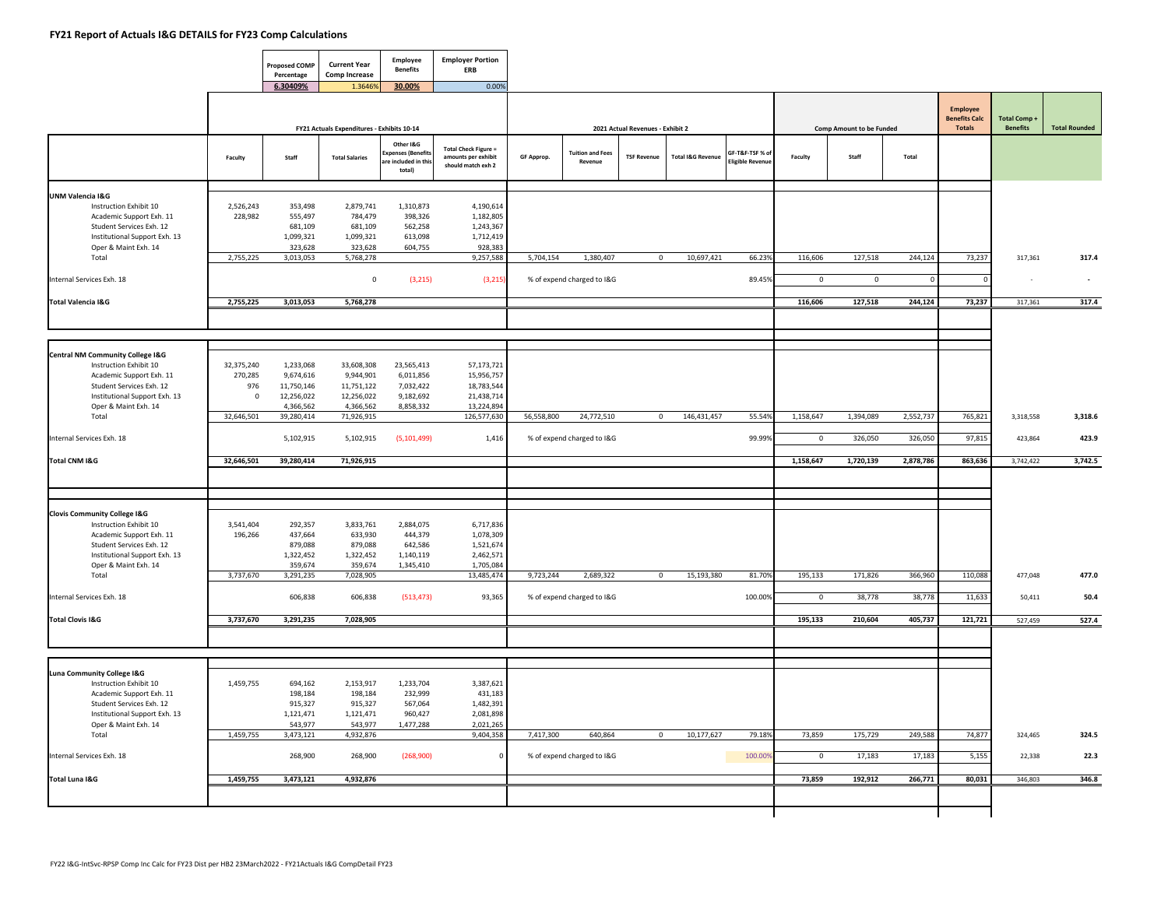$\blacksquare$ 

|                                                                                                                                                            |                              | <b>Proposed COMP</b><br>Percentage         | <b>Current Year</b><br><b>Comp Increase</b>          | Employee<br><b>Benefits</b>                                  | <b>Employer Portion</b><br>ERB                                           |            |                                       |                                  |                              |                                            |                       |                                 |                   |                                                          |                                |                      |
|------------------------------------------------------------------------------------------------------------------------------------------------------------|------------------------------|--------------------------------------------|------------------------------------------------------|--------------------------------------------------------------|--------------------------------------------------------------------------|------------|---------------------------------------|----------------------------------|------------------------------|--------------------------------------------|-----------------------|---------------------------------|-------------------|----------------------------------------------------------|--------------------------------|----------------------|
|                                                                                                                                                            |                              | 6.30409%                                   | 1.3646<br>FY21 Actuals Expenditures - Exhibits 10-14 | 30.00%                                                       | 0.00%                                                                    |            |                                       | 2021 Actual Revenues - Exhibit 2 |                              |                                            |                       | <b>Comp Amount to be Funded</b> |                   | <b>Employee</b><br><b>Benefits Calc</b><br><b>Totals</b> | Total Comp+<br><b>Benefits</b> | <b>Total Rounded</b> |
|                                                                                                                                                            | Faculty                      | Staff                                      | <b>Total Salaries</b>                                | Other I&G<br>(penses (Benefit:<br>included in this<br>total) | <b>Total Check Figure =</b><br>amounts per exhibit<br>should match exh 2 | GF Approp. | <b>Tuition and Fees</b><br>Revenue    | <b>TSF Revenue</b>               | <b>Total I&amp;G Revenue</b> | GF-T&F-TSF % of<br><b>Eligible Revenue</b> | Faculty               | Staff                           | Total             |                                                          |                                |                      |
| <b>UNM Valencia I&amp;G</b><br>Instruction Exhibit 10<br>Academic Support Exh. 11<br>Student Services Exh. 12                                              | 2,526,243<br>228,982         | 353,498<br>555,497<br>681,109              | 2,879,741<br>784,479<br>681,109                      | 1,310,873<br>398,326<br>562,258                              | 4,190,614<br>1,182,805<br>1,243,367                                      |            |                                       |                                  |                              |                                            |                       |                                 |                   |                                                          |                                |                      |
| Institutional Support Exh. 13<br>Oper & Maint Exh. 14<br>Total                                                                                             | 2,755,225                    | 1,099,321<br>323,628<br>3,013,053          | 1,099,321<br>323,628<br>5,768,278                    | 613,098<br>604,755                                           | 1,712,419<br>928,383<br>9,257,588                                        | 5,704,154  | 1,380,407                             | $\mathbf 0$                      | 10,697,421                   | 66.239                                     | 116,606               | 127,518                         | 244,124           | 73,237                                                   | 317,361                        | 317.4                |
| Internal Services Exh. 18                                                                                                                                  |                              |                                            | $\mathbf 0$                                          | (3, 215)                                                     | (3,215)                                                                  |            | % of expend charged to I&G            |                                  |                              | 89.45%                                     | $\mathbf 0$           | $\overline{0}$                  | $\Omega$          |                                                          |                                | $\sim$               |
| <b>Total Valencia I&amp;G</b>                                                                                                                              | 2,755,225                    | 3,013,053                                  | 5,768,278                                            |                                                              |                                                                          |            |                                       |                                  |                              |                                            | 116,606               | 127,518                         | 244,124           | 73,237                                                   | 317,361                        | 317.4                |
| Central NM Community College I&G<br>Instruction Exhibit 10<br>Academic Support Exh. 11<br>Student Services Exh. 12                                         | 32,375,240<br>270,285<br>976 | 1,233,068<br>9,674,616<br>11,750,146       | 33,608,308<br>9,944,901<br>11,751,122                | 23,565,413<br>6,011,856<br>7,032,422                         | 57,173,721<br>15,956,757<br>18,783,544                                   |            |                                       |                                  |                              |                                            |                       |                                 |                   |                                                          |                                |                      |
| Institutional Support Exh. 13<br>Oper & Maint Exh. 14<br>Total                                                                                             | $\mathbf 0$<br>32,646,501    | 12,256,022<br>4,366,562<br>39,280,414      | 12,256,022<br>4,366,562<br>71,926,915                | 9,182,692<br>8,858,332                                       | 21,438,714<br>13,224,894<br>126,577,630                                  | 56,558,800 | 24,772,510                            | $\mathbf 0$                      | 146,431,457                  | 55.549                                     | 1,158,647             | 1,394,089                       | 2,552,737         | 765,821                                                  | 3,318,558                      | 3,318.6              |
| Internal Services Exh. 18                                                                                                                                  |                              | 5,102,915                                  | 5,102,915                                            | (5, 101, 499)                                                | 1,416                                                                    |            | % of expend charged to I&G            |                                  |                              | 99.99%                                     | $\mathbf 0$           | 326,050                         | 326,050           | 97,815                                                   | 423,864                        | 423.9                |
| Total CNM I&G                                                                                                                                              | 32,646,501                   | 39,280,414                                 | 71,926,915                                           |                                                              |                                                                          |            |                                       |                                  |                              |                                            | 1,158,647             | 1,720,139                       | 2,878,786         | 863,636                                                  | 3,742,422                      | 3,742.5              |
|                                                                                                                                                            |                              |                                            |                                                      |                                                              |                                                                          |            |                                       |                                  |                              |                                            |                       |                                 |                   |                                                          |                                |                      |
| <b>Clovis Community College I&amp;G</b><br>Instruction Exhibit 10<br>Academic Support Exh. 11<br>Student Services Exh. 12<br>Institutional Support Exh. 13 | 3,541,404<br>196,266         | 292,357<br>437,664<br>879,088<br>1,322,452 | 3,833,761<br>633,930<br>879,088<br>1,322,452         | 2,884,075<br>444,379<br>642,586<br>1,140,119                 | 6,717,836<br>1,078,309<br>1,521,674<br>2,462,571                         |            |                                       |                                  |                              |                                            |                       |                                 |                   |                                                          |                                |                      |
| Oper & Maint Exh. 14<br>Total                                                                                                                              | 3,737,670                    | 359,674<br>3,291,235                       | 359,674<br>7,028,905                                 | 1,345,410                                                    | 1,705,084<br>13,485,474                                                  | 9,723,244  | 2,689,322                             | $\mathbf 0$                      | 15,193,380                   | 81.70%                                     | 195,133               | 171,826                         | 366,960           | 110,088                                                  | 477,048                        | 477.0                |
| Internal Services Exh. 18                                                                                                                                  |                              | 606,838                                    | 606,838                                              | (513, 473)                                                   | 93,365                                                                   |            | % of expend charged to I&G            |                                  |                              | 100.00%                                    | $\mathbf 0$           | 38,778                          | 38,778            | 11,633                                                   | 50,411                         | 50.4                 |
| <b>Total Clovis I&amp;G</b>                                                                                                                                | 3,737,670                    | 3,291,235                                  | 7,028,905                                            |                                                              |                                                                          |            |                                       |                                  |                              |                                            | 195,133               | 210,604                         | 405,737           | 121,721                                                  | 527,459                        | 527.4                |
| Luna Community College I&G<br>Instruction Exhibit 10<br>Academic Support Exh. 11                                                                           | 1,459,755                    | 694,162<br>198,184                         | 2,153,917<br>198,184                                 | 1,233,704<br>232,999                                         | 3,387,621<br>431,183                                                     |            |                                       |                                  |                              |                                            |                       |                                 |                   |                                                          |                                |                      |
| Student Services Exh. 12<br>Institutional Support Exh. 13<br>Oper & Maint Exh. 14                                                                          |                              | 915,327<br>1,121,471<br>543,977            | 915,327<br>1,121,471<br>543,977                      | 567,064<br>960,427<br>1,477,288                              | 1,482,391<br>2,081,898<br>2,021,265                                      |            |                                       |                                  |                              |                                            |                       |                                 |                   |                                                          |                                |                      |
| Total<br>Internal Services Exh. 18                                                                                                                         | 1,459,755                    | 3,473,121<br>268,900                       | 4,932,876<br>268,900                                 | (268,900)                                                    | 9,404,358<br>$\mathbf 0$                                                 | 7,417,300  | 640,864<br>% of expend charged to I&G | $\mathbf 0$                      | 10,177,627                   | 79.18%<br>100.00%                          | 73,859<br>$\mathbf 0$ | 175,729<br>17,183               | 249,588<br>17,183 | 74,877<br>5,155                                          | 324,465<br>22,338              | 324.5<br>22.3        |
| Total Luna I&G                                                                                                                                             | 1,459,755                    | 3,473,121                                  | 4,932,876                                            |                                                              |                                                                          |            |                                       |                                  |                              |                                            | 73,859                | 192,912                         | 266,771           | 80,031                                                   | 346,803                        | 346.8                |
|                                                                                                                                                            |                              |                                            |                                                      |                                                              |                                                                          |            |                                       |                                  |                              |                                            |                       |                                 |                   |                                                          |                                |                      |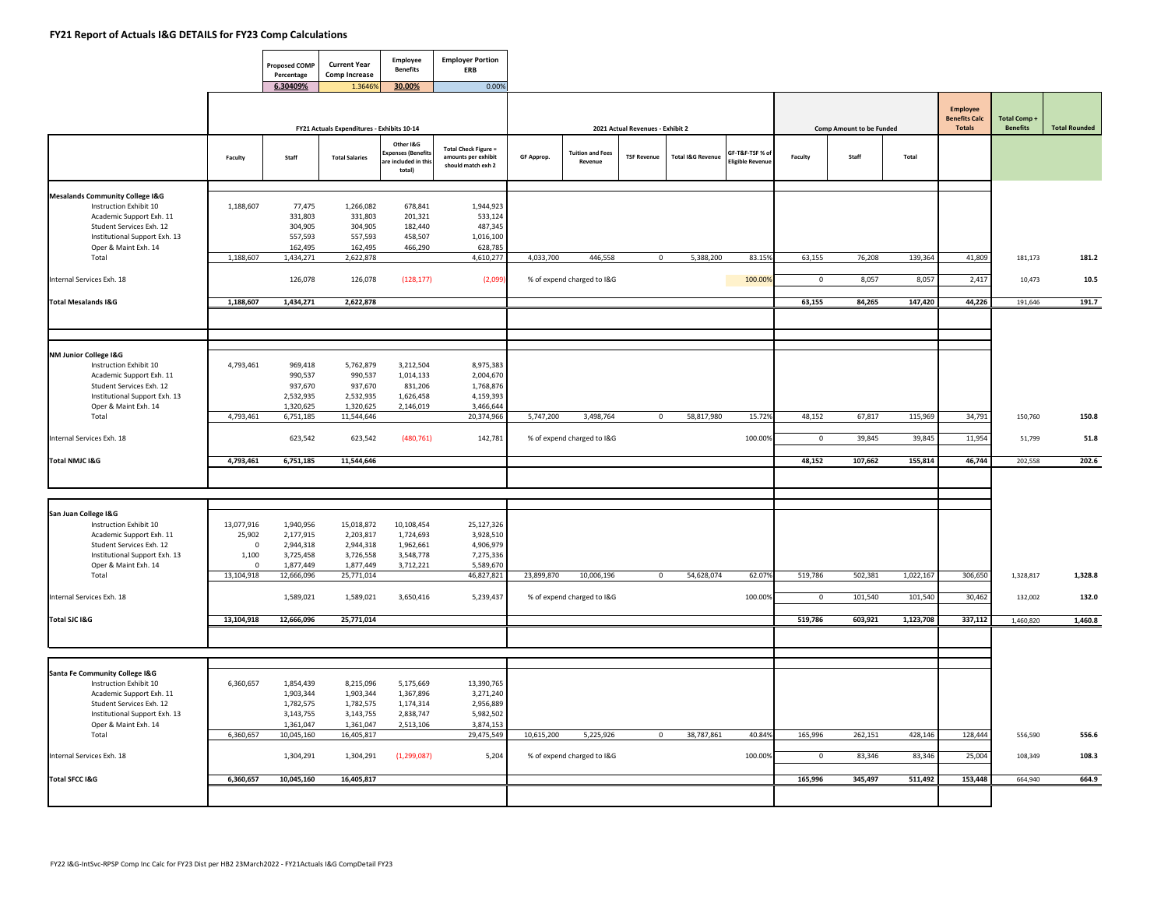$\blacksquare$ 

|                                                      |            | <b>Proposed COMP</b><br>Percentage | <b>Current Year</b><br><b>Comp Increase</b> | Employee<br><b>Benefits</b>                                   | <b>Employer Portion</b><br>ERB                                           |            |                                    |                                  |                              |                                           |             |                                 |           |                                  |                    |                      |
|------------------------------------------------------|------------|------------------------------------|---------------------------------------------|---------------------------------------------------------------|--------------------------------------------------------------------------|------------|------------------------------------|----------------------------------|------------------------------|-------------------------------------------|-------------|---------------------------------|-----------|----------------------------------|--------------------|----------------------|
|                                                      |            | 6.30409%                           | 1.36469                                     | 30.00%                                                        | 0.00%                                                                    |            |                                    |                                  |                              |                                           |             |                                 |           | Employee<br><b>Benefits Calc</b> | <b>Total Comp+</b> |                      |
|                                                      |            |                                    | FY21 Actuals Expenditures - Exhibits 10-14  |                                                               |                                                                          |            |                                    | 2021 Actual Revenues - Exhibit 2 |                              |                                           |             | <b>Comp Amount to be Funded</b> |           | <b>Totals</b>                    | <b>Benefits</b>    | <b>Total Rounded</b> |
|                                                      | Faculty    | Staff                              | <b>Total Salaries</b>                       | Other I&G<br>xpenses (Benefit<br>are included in th<br>total) | <b>Total Check Figure =</b><br>amounts per exhibit<br>should match exh 2 | GF Approp. | <b>Tuition and Fees</b><br>Revenue | <b>TSF Revenue</b>               | <b>Total I&amp;G Revenue</b> | GF-T&F-TSF % of<br><b>Eligible Revenu</b> | Faculty     | Staff                           | Total     |                                  |                    |                      |
| <b>Mesalands Community College I&amp;G</b>           |            |                                    |                                             |                                                               |                                                                          |            |                                    |                                  |                              |                                           |             |                                 |           |                                  |                    |                      |
| Instruction Exhibit 10                               | 1,188,607  | 77,475                             | 1,266,082                                   | 678,841                                                       | 1,944,923                                                                |            |                                    |                                  |                              |                                           |             |                                 |           |                                  |                    |                      |
| Academic Support Exh. 11                             |            | 331,803                            | 331,803                                     | 201,321                                                       | 533,124                                                                  |            |                                    |                                  |                              |                                           |             |                                 |           |                                  |                    |                      |
| Student Services Exh. 12                             |            | 304,905                            | 304,905                                     | 182,440                                                       | 487,345                                                                  |            |                                    |                                  |                              |                                           |             |                                 |           |                                  |                    |                      |
| Institutional Support Exh. 13                        |            | 557,593                            | 557,593                                     | 458,507                                                       | 1,016,100                                                                |            |                                    |                                  |                              |                                           |             |                                 |           |                                  |                    |                      |
| Oper & Maint Exh. 14<br>Total                        | 1.188,607  | 162,495                            | 162,495                                     | 466,290                                                       | 628,785                                                                  |            | 446.558                            | $\mathbf 0$                      | 5.388.200                    | 83.15%                                    | 63.155      |                                 |           |                                  |                    |                      |
|                                                      |            | 1,434,271                          | 2,622,878                                   |                                                               | 4,610,277                                                                | 4,033,700  |                                    |                                  |                              |                                           |             | 76,208                          | 139,364   | 41,809                           | 181,173            | 181.2                |
| Internal Services Exh. 18                            |            | 126,078                            | 126,078                                     | (128, 177)                                                    | (2,099)                                                                  |            | % of expend charged to I&G         |                                  |                              | 100.009                                   | $\mathbf 0$ | 8,057                           | 8,057     | 2,417                            | 10,473             | 10.5                 |
| <b>Total Mesalands I&amp;G</b>                       | 1,188,607  | 1,434,271                          | 2,622,878                                   |                                                               |                                                                          |            |                                    |                                  |                              |                                           | 63,155      | 84,265                          | 147,420   | 44,226                           | 191,646            | 191.7                |
|                                                      |            |                                    |                                             |                                                               |                                                                          |            |                                    |                                  |                              |                                           |             |                                 |           |                                  |                    |                      |
|                                                      |            |                                    |                                             |                                                               |                                                                          |            |                                    |                                  |                              |                                           |             |                                 |           |                                  |                    |                      |
| NM Junior College I&G                                |            |                                    |                                             |                                                               |                                                                          |            |                                    |                                  |                              |                                           |             |                                 |           |                                  |                    |                      |
| Instruction Exhibit 10                               | 4,793,461  | 969,418                            | 5,762,879                                   | 3,212,504                                                     | 8,975,383                                                                |            |                                    |                                  |                              |                                           |             |                                 |           |                                  |                    |                      |
| Academic Support Exh. 11<br>Student Services Exh. 12 |            | 990,537<br>937,670                 | 990,537<br>937,670                          | 1,014,133<br>831,206                                          | 2,004,670<br>1,768,876                                                   |            |                                    |                                  |                              |                                           |             |                                 |           |                                  |                    |                      |
| Institutional Support Exh. 13                        |            | 2,532,935                          | 2,532,935                                   | 1,626,458                                                     | 4,159,393                                                                |            |                                    |                                  |                              |                                           |             |                                 |           |                                  |                    |                      |
| Oper & Maint Exh. 14                                 |            | 1,320,625                          | 1,320,625                                   | 2,146,019                                                     | 3,466,644                                                                |            |                                    |                                  |                              |                                           |             |                                 |           |                                  |                    |                      |
| Total                                                | 4,793,461  | 6,751,185                          | 11,544,646                                  |                                                               | 20,374,966                                                               | 5,747,200  | 3,498,764                          | $\mathbf 0$                      | 58,817,980                   | 15.72%                                    | 48,152      | 67,817                          | 115,969   | 34,791                           | 150,760            | 150.8                |
|                                                      |            |                                    |                                             |                                                               |                                                                          |            |                                    |                                  |                              |                                           |             |                                 |           |                                  |                    |                      |
| Internal Services Exh. 18                            |            | 623,542                            | 623,542                                     | (480, 761)                                                    | 142,781                                                                  |            | % of expend charged to I&G         |                                  |                              | 100.00%                                   | $\Omega$    | 39,845                          | 39.845    | 11,954                           | 51,799             | 51.8                 |
| Total NMJC I&G                                       | 4,793,461  | 6,751,185                          | 11,544,646                                  |                                                               |                                                                          |            |                                    |                                  |                              |                                           | 48,152      | 107,662                         | 155,814   | 46,744                           | 202,558            | 202.6                |
|                                                      |            |                                    |                                             |                                                               |                                                                          |            |                                    |                                  |                              |                                           |             |                                 |           |                                  |                    |                      |
| San Juan College I&G                                 |            |                                    |                                             |                                                               |                                                                          |            |                                    |                                  |                              |                                           |             |                                 |           |                                  |                    |                      |
| Instruction Exhibit 10                               | 13,077,916 | 1,940,956                          | 15,018,872                                  | 10,108,454                                                    | 25,127,326                                                               |            |                                    |                                  |                              |                                           |             |                                 |           |                                  |                    |                      |
| Academic Support Exh. 11                             | 25,902     | 2,177,915                          | 2,203,817                                   | 1,724,693                                                     | 3,928,510                                                                |            |                                    |                                  |                              |                                           |             |                                 |           |                                  |                    |                      |
| Student Services Exh. 12                             | $\Omega$   | 2,944,318                          | 2,944,318                                   | 1,962,661                                                     | 4,906,979                                                                |            |                                    |                                  |                              |                                           |             |                                 |           |                                  |                    |                      |
| Institutional Support Exh. 13                        | 1,100      | 3,725,458                          | 3,726,558                                   | 3,548,778                                                     | 7,275,336                                                                |            |                                    |                                  |                              |                                           |             |                                 |           |                                  |                    |                      |
| Oper & Maint Exh. 14                                 | $\Omega$   | 1,877,449                          | 1,877,449                                   | 3,712,221                                                     | 5,589,670                                                                |            |                                    |                                  |                              |                                           |             |                                 |           |                                  |                    |                      |
| Total                                                | 13,104,918 | 12,666,096                         | 25,771,014                                  |                                                               | 46,827,821                                                               | 23,899,870 | 10,006,196                         | $^{\circ}$                       | 54,628,074                   | 62.07%                                    | 519,786     | 502,381                         | 1,022,167 | 306,650                          | 1,328,817          | 1,328.8              |
| Internal Services Exh. 18                            |            | 1,589,021                          | 1,589,021                                   | 3,650,416                                                     | 5,239,437                                                                |            | % of expend charged to I&G         |                                  |                              | 100.00%                                   | $\mathbf 0$ | 101,540                         | 101,540   | 30,462                           | 132,002            | 132.0                |
| Total SJC I&G                                        | 13,104,918 | 12,666,096                         | 25,771,014                                  |                                                               |                                                                          |            |                                    |                                  |                              |                                           | 519,786     | 603,921                         | 1,123,708 | 337,112                          | 1,460,820          | 1,460.8              |
|                                                      |            |                                    |                                             |                                                               |                                                                          |            |                                    |                                  |                              |                                           |             |                                 |           |                                  |                    |                      |
| Santa Fe Community College I&G                       |            |                                    |                                             |                                                               |                                                                          |            |                                    |                                  |                              |                                           |             |                                 |           |                                  |                    |                      |
| Instruction Exhibit 10                               | 6,360,657  | 1,854,439                          | 8,215,096                                   | 5,175,669                                                     | 13,390,765                                                               |            |                                    |                                  |                              |                                           |             |                                 |           |                                  |                    |                      |
| Academic Support Exh. 11                             |            | 1,903,344                          | 1,903,344                                   | 1,367,896                                                     | 3,271,240                                                                |            |                                    |                                  |                              |                                           |             |                                 |           |                                  |                    |                      |
| Student Services Exh. 12                             |            | 1,782,575                          | 1,782,575                                   | 1,174,314                                                     | 2,956,889                                                                |            |                                    |                                  |                              |                                           |             |                                 |           |                                  |                    |                      |
| Institutional Support Exh. 13                        |            | 3,143,755                          | 3,143,755                                   | 2,838,747                                                     | 5,982,502                                                                |            |                                    |                                  |                              |                                           |             |                                 |           |                                  |                    |                      |
| Oper & Maint Exh. 14                                 |            | 1,361,047                          | 1,361,047                                   | 2,513,106                                                     | 3,874,153                                                                |            |                                    |                                  |                              |                                           |             |                                 |           |                                  |                    |                      |
| Total                                                | 6.360.657  | 10,045,160                         | 16,405,817                                  |                                                               | 29,475,549                                                               | 10,615,200 | 5,225,926                          | $\Omega$                         | 38,787,861                   | 40.84%                                    | 165.996     | 262,151                         | 428,146   | 128,444                          | 556,590            | 556.6                |
| Internal Services Exh. 18                            |            | 1,304,291                          | 1,304,291                                   | (1, 299, 087)                                                 | 5,204                                                                    |            | % of expend charged to I&G         |                                  |                              | 100.00%                                   | $\mathbf 0$ | 83,346                          | 83,346    | 25,004                           | 108,349            | 108.3                |
|                                                      |            |                                    |                                             |                                                               |                                                                          |            |                                    |                                  |                              |                                           |             |                                 |           |                                  |                    |                      |
| Total SFCC I&G                                       | 6,360,657  | 10,045,160                         | 16,405,817                                  |                                                               |                                                                          |            |                                    |                                  |                              |                                           | 165,996     | 345,497                         | 511,492   | 153,448                          | 664,940            | 664.9                |
|                                                      |            |                                    |                                             |                                                               |                                                                          |            |                                    |                                  |                              |                                           |             |                                 |           |                                  |                    |                      |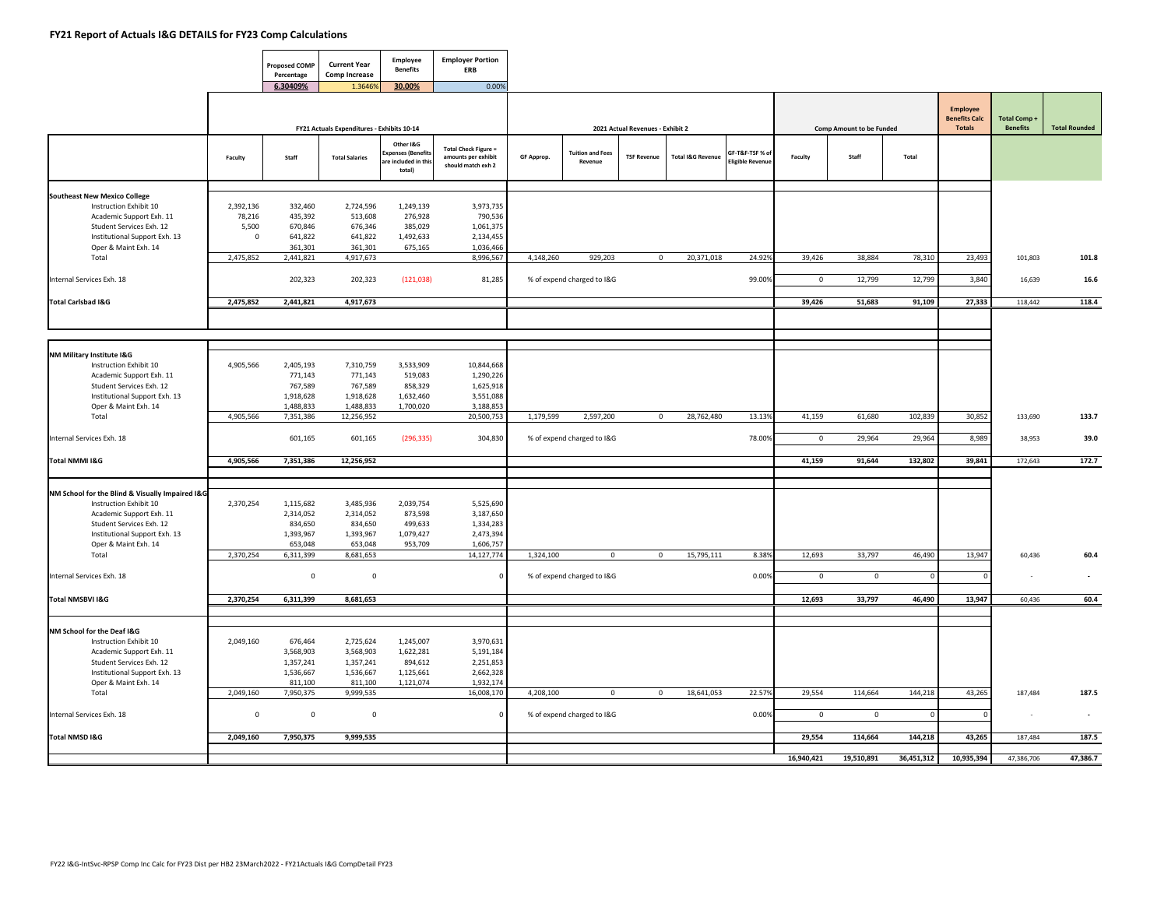$\blacksquare$ 

┱

┯

|                                                                                                                                                                                            |                                             | <b>Proposed COMP</b><br>Percentage                        | <b>Current Year</b><br><b>Comp Increase</b>                 | Employee<br><b>Benefits</b>                                    | <b>Employer Portion</b><br><b>ERB</b>                                    |            |                                    |                                  |                              |                                            |                |                                 |             |                                                          |                                |                      |
|--------------------------------------------------------------------------------------------------------------------------------------------------------------------------------------------|---------------------------------------------|-----------------------------------------------------------|-------------------------------------------------------------|----------------------------------------------------------------|--------------------------------------------------------------------------|------------|------------------------------------|----------------------------------|------------------------------|--------------------------------------------|----------------|---------------------------------|-------------|----------------------------------------------------------|--------------------------------|----------------------|
|                                                                                                                                                                                            |                                             | 6.30409%                                                  | 1.36469                                                     | 30.00%                                                         | 0.00%                                                                    |            |                                    |                                  |                              |                                            |                |                                 |             |                                                          |                                |                      |
|                                                                                                                                                                                            |                                             |                                                           | FY21 Actuals Expenditures - Exhibits 10-14                  |                                                                |                                                                          |            |                                    | 2021 Actual Revenues - Exhibit 2 |                              |                                            |                | <b>Comp Amount to be Funded</b> |             | <b>Employee</b><br><b>Benefits Calc</b><br><b>Totals</b> | Total Comp+<br><b>Benefits</b> | <b>Total Rounded</b> |
|                                                                                                                                                                                            | Faculty                                     | Staff                                                     | <b>Total Salaries</b>                                       | Other I&G<br>xpenses (Benefit:<br>re included in thi<br>total) | <b>Total Check Figure =</b><br>amounts per exhibit<br>should match exh 2 | GF Approp. | <b>Tuition and Fees</b><br>Revenue | <b>TSF Revenue</b>               | <b>Total I&amp;G Revenue</b> | GF-T&F-TSF % of<br><b>Eligible Revenue</b> | Faculty        | Staff                           | Total       |                                                          |                                |                      |
| <b>Southeast New Mexico College</b><br>Instruction Exhibit 10<br>Academic Support Exh. 11<br>Student Services Exh. 12<br>Institutional Support Exh. 13                                     | 2,392,136<br>78,216<br>5,500<br>$\mathbf 0$ | 332,460<br>435,392<br>670,846<br>641,822                  | 2,724,596<br>513,608<br>676,346<br>641,822                  | 1,249,139<br>276,928<br>385,029<br>1,492,633                   | 3,973,735<br>790,536<br>1,061,375<br>2,134,455                           |            |                                    |                                  |                              |                                            |                |                                 |             |                                                          |                                |                      |
| Oper & Maint Exh. 14<br>Total                                                                                                                                                              | 2,475,852                                   | 361,301<br>2,441,821                                      | 361,301<br>4,917,673                                        | 675,165                                                        | 1,036,466<br>8,996,567                                                   | 4,148,260  | 929.203                            | $\Omega$                         | 20,371,018                   | 24.92%                                     | 39,426         | 38,884                          | 78,310      | 23,493                                                   | 101,803                        | 101.8                |
| Internal Services Exh. 18                                                                                                                                                                  |                                             | 202,323                                                   | 202,323                                                     | (121, 038)                                                     | 81,285                                                                   |            | % of expend charged to I&G         |                                  |                              | 99.00%                                     | $\mathsf 0$    | 12,799                          | 12,799      | 3,840                                                    | 16,639                         | 16.6                 |
| <b>Total Carlsbad I&amp;G</b>                                                                                                                                                              | 2,475,852                                   | 2,441,821                                                 | 4,917,673                                                   |                                                                |                                                                          |            |                                    |                                  |                              |                                            | 39,426         | 51,683                          | 91,109      | 27,333                                                   | 118,442                        | 118.4                |
|                                                                                                                                                                                            |                                             |                                                           |                                                             |                                                                |                                                                          |            |                                    |                                  |                              |                                            |                |                                 |             |                                                          |                                |                      |
| NM Military Institute I&G<br>Instruction Exhibit 10<br>Academic Support Exh. 11<br>Student Services Exh. 12                                                                                | 4,905,566                                   | 2,405,193<br>771,143<br>767,589                           | 7,310,759<br>771,143<br>767,589                             | 3,533,909<br>519,083<br>858,329                                | 10,844,668<br>1,290,226<br>1,625,918                                     |            |                                    |                                  |                              |                                            |                |                                 |             |                                                          |                                |                      |
| Institutional Support Exh. 13<br>Oper & Maint Exh. 14<br>Total                                                                                                                             | 4,905,566                                   | 1,918,628<br>1,488,833<br>7,351,386                       | 1,918,628<br>1,488,833<br>12,256,952                        | 1,632,460<br>1,700,020                                         | 3,551,088<br>3,188,853<br>20,500,753                                     | 1,179,599  | 2,597,200                          | $\mathbf 0$                      | 28,762,480                   | 13.13%                                     | 41,159         | 61,680                          | 102,839     | 30,852                                                   | 133,690                        | 133.7                |
| Internal Services Exh. 18                                                                                                                                                                  |                                             | 601,165                                                   | 601,165                                                     | (296, 335)                                                     | 304,830                                                                  |            | % of expend charged to I&G         |                                  |                              | 78.00%                                     | $\overline{0}$ | 29,964                          | 29,964      | 8,989                                                    | 38,953                         | 39.0                 |
| Total NMMI I&G                                                                                                                                                                             | 4,905,566                                   | 7,351,386                                                 | 12,256,952                                                  |                                                                |                                                                          |            |                                    |                                  |                              |                                            | 41,159         | 91,644                          | 132,802     | 39,841                                                   | 172,643                        | 172.7                |
|                                                                                                                                                                                            |                                             |                                                           |                                                             |                                                                |                                                                          |            |                                    |                                  |                              |                                            |                |                                 |             |                                                          |                                |                      |
| NM School for the Blind & Visually Impaired I&G<br>Instruction Exhibit 10<br>Academic Support Exh. 11<br>Student Services Exh. 12<br>Institutional Support Exh. 13<br>Oper & Maint Exh. 14 | 2,370,254                                   | 1,115,682<br>2,314,052<br>834,650<br>1,393,967<br>653,048 | 3,485,936<br>2,314,052<br>834,650<br>1,393,967<br>653,048   | 2,039,754<br>873,598<br>499,633<br>1,079,427<br>953,709        | 5,525,690<br>3,187,650<br>1,334,283<br>2,473,394<br>1,606,757            |            |                                    |                                  |                              |                                            |                |                                 |             |                                                          |                                |                      |
| Total                                                                                                                                                                                      | 2,370,254                                   | 6,311,399                                                 | 8,681,653                                                   |                                                                | 14,127,774                                                               | 1,324,100  | $\overline{0}$                     | $\overline{0}$                   | 15,795,111                   | 8.38%                                      | 12,693         | 33,797                          | 46,490      | 13,947                                                   | 60,436                         | 60.4                 |
| Internal Services Exh. 18                                                                                                                                                                  |                                             | $\mathsf{O}$                                              | $\mathsf 0$                                                 |                                                                | $\mathbf 0$                                                              |            | % of expend charged to I&G         |                                  |                              | 0.00%                                      | $\mathbf 0$    | $\overline{\mathbf{0}}$         | $\mathbf 0$ |                                                          | $\sim$                         | $\sim$               |
| Total NMSBVI I&G                                                                                                                                                                           | 2,370,254                                   | 6,311,399                                                 | 8,681,653                                                   |                                                                |                                                                          |            |                                    |                                  |                              |                                            | 12,693         | 33,797                          | 46,490      | 13,947                                                   | 60.436                         | 60.4                 |
| NM School for the Deaf I&G<br>Instruction Exhibit 10<br>Academic Support Exh. 11<br>Student Services Exh. 12<br>Institutional Support Exh. 13<br>Oper & Maint Exh. 14                      | 2,049,160                                   | 676,464<br>3,568,903<br>1,357,241<br>1,536,667<br>811,100 | 2,725,624<br>3,568,903<br>1,357,241<br>1,536,667<br>811,100 | 1,245,007<br>1,622,281<br>894,612<br>1,125,661<br>1,121,074    | 3,970,631<br>5,191,184<br>2,251,853<br>2,662,328<br>1,932,174            |            |                                    |                                  |                              |                                            |                |                                 |             |                                                          |                                |                      |
| Total                                                                                                                                                                                      | 2,049,160                                   | 7,950,375                                                 | 9,999,535                                                   |                                                                | 16,008,170                                                               | 4,208,100  | $\mathsf 0$                        | $\mathbf 0$                      | 18,641,053                   | 22.57%                                     | 29,554         | 114,664                         | 144,218     | 43,265                                                   | 187,484                        | 187.5                |
| Internal Services Exh. 18                                                                                                                                                                  | $\mathbf 0$                                 | 0                                                         | $\mathsf 0$                                                 |                                                                | $\Omega$                                                                 |            | % of expend charged to I&G         |                                  |                              | 0.00%                                      | $\mathbf 0$    | $\mathbf 0$                     | $\mathsf 0$ |                                                          | $\sim$                         | $\sim$               |
| Total NMSD I&G                                                                                                                                                                             | 2,049,160                                   | 7,950,375                                                 | 9,999,535                                                   |                                                                |                                                                          |            |                                    |                                  |                              |                                            | 29,554         | 114,664                         | 144,218     | 43,265                                                   | 187,484                        | 187.5                |
|                                                                                                                                                                                            |                                             |                                                           |                                                             |                                                                |                                                                          |            |                                    |                                  |                              |                                            | 16,940,421     | 19,510,891                      | 36,451,312  | 10,935,394                                               | 47,386,706                     | 47,386.7             |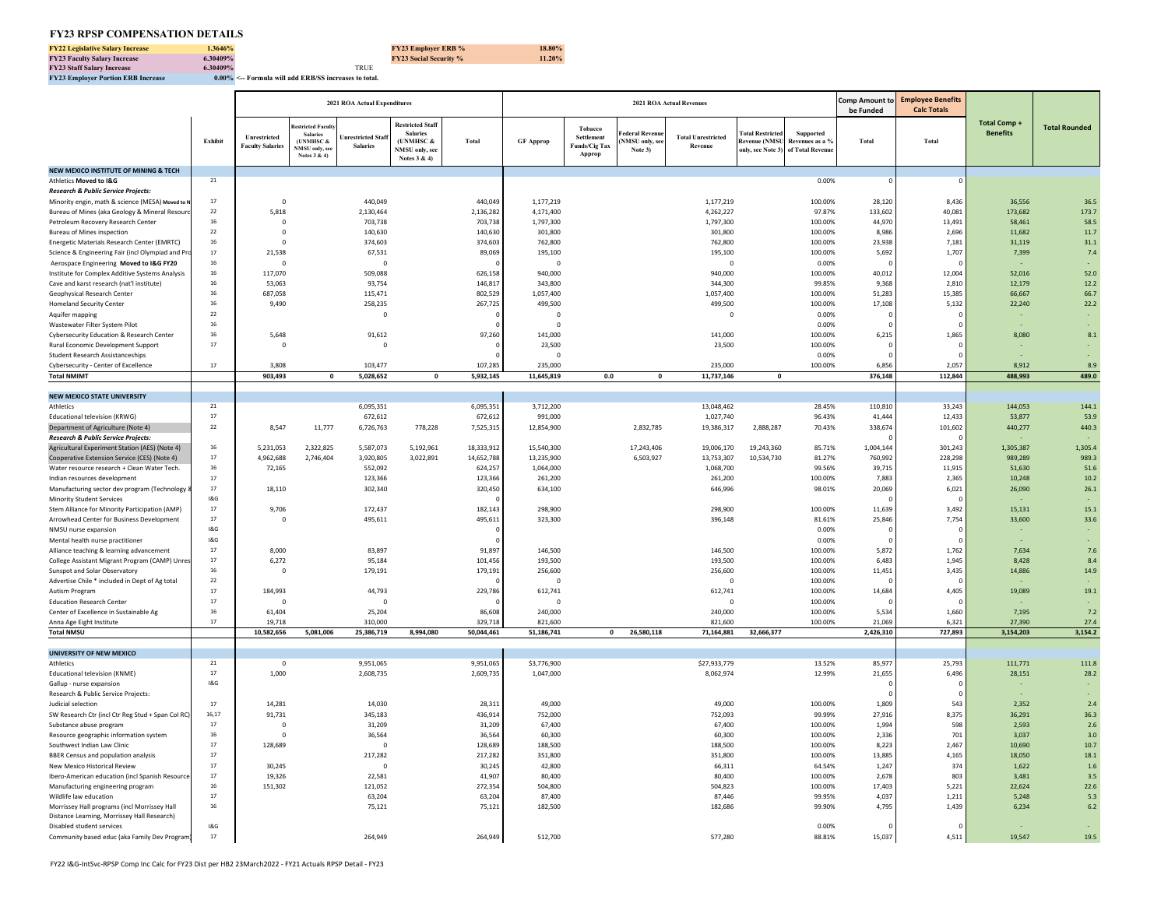#### **FY23 RPSP COMPENSATION DETAILS**

| <b>FY22 Legislative Salary Increase</b>   | 1.3646%  |                                                             | <b>FY23 Employer ERB %</b>    | 18.80% |
|-------------------------------------------|----------|-------------------------------------------------------------|-------------------------------|--------|
| <b>FY23 Faculty Salary Increase</b>       | 6.30409% |                                                             | <b>FY23 Social Security %</b> | 11.20% |
| <b>FY23 Staff Salary Increase</b>         | 6.30409% | TRUE                                                        |                               |        |
| <b>FY23 Employer Portion ERB Increase</b> |          | $0.00\%$ $\leq$ Formula will add ERB/SS increases to total. |                               |        |

÷

|                                                                                             |            |                                         |                                                                                                    | 2021 ROA Actual Expenditures                |                                                                                          |                      |                        |                                                         |                                                  | <b>2021 ROA Actual Revenues</b>      |                                                                               |                              | be Funded         | Comp Amount to Employee Benefits<br><b>Calc Totals</b> |                                 |                      |
|---------------------------------------------------------------------------------------------|------------|-----------------------------------------|----------------------------------------------------------------------------------------------------|---------------------------------------------|------------------------------------------------------------------------------------------|----------------------|------------------------|---------------------------------------------------------|--------------------------------------------------|--------------------------------------|-------------------------------------------------------------------------------|------------------------------|-------------------|--------------------------------------------------------|---------------------------------|----------------------|
|                                                                                             | Exhibit    | Unrestricted<br><b>Faculty Salaries</b> | estricted Facul<br><b>Salaries</b><br><b>UNMHSC &amp;</b><br><b>NMSU</b> only, see<br>Notes 3 & 4) | <b>Inrestricted Staf</b><br><b>Salaries</b> | <b>Restricted Staff</b><br><b>Salaries</b><br>(UNMHSC &<br>NMSU only, se<br>Notes 3 & 4) | Total                | <b>GF Approp</b>       | Tobacco<br>Settlement<br><b>Funds/Cig Tax</b><br>Approp | ederal Revent<br><b>NMSU</b> only, se<br>Note 3) | <b>Total Unrestricted</b><br>Revenue | otal Restricted<br><b>Revenue (NMSU</b><br>only, see Note 3) of Total Revenue | Supported<br>Revenues as a % | Total             | Total                                                  | Total Comp -<br><b>Benefits</b> | <b>Total Rounded</b> |
| NEW MEXICO INSTITUTE OF MINING & TECH                                                       |            |                                         |                                                                                                    |                                             |                                                                                          |                      |                        |                                                         |                                                  |                                      |                                                                               |                              |                   |                                                        |                                 |                      |
| Athletics Moved to I&G                                                                      | 21         |                                         |                                                                                                    |                                             |                                                                                          |                      |                        |                                                         |                                                  |                                      |                                                                               | 0.00%                        |                   |                                                        |                                 |                      |
| Research & Public Service Projects:                                                         |            |                                         |                                                                                                    |                                             |                                                                                          |                      |                        |                                                         |                                                  |                                      |                                                                               |                              |                   |                                                        |                                 |                      |
| Minority engin, math & science (MESA) Moved to N                                            | 17         | $\overline{0}$                          |                                                                                                    | 440,049                                     |                                                                                          | 440,049              | 1,177,219              |                                                         |                                                  | 1,177,219                            |                                                                               | 100.00%                      | 28,120            | 8,436                                                  | 36,556                          | 36.5                 |
| Bureau of Mines (aka Geology & Mineral Resourd<br>Petroleum Recovery Research Center        | 22<br>16   | 5,818<br>$\Omega$                       |                                                                                                    | 2,130,464<br>703,738                        |                                                                                          | 2,136,282<br>703.738 | 4,171,400              |                                                         |                                                  | 4,262,227                            |                                                                               | 97.87%<br>100.00%            | 133,602<br>44,970 | 40,081<br>13,491                                       | 173.682<br>58,461               | 173.7                |
| <b>Bureau of Mines inspection</b>                                                           | 22         | $\mathbf 0$                             |                                                                                                    | 140,630                                     |                                                                                          | 140,630              | 1,797,300<br>301,800   |                                                         |                                                  | 1,797,300<br>301,800                 |                                                                               | 100.00%                      | 8,98              | 2,696                                                  | 11,682                          | 58.5<br>11.7         |
| Energetic Materials Research Center (EMRTC)                                                 | 16         | $\Omega$                                |                                                                                                    | 374,603                                     |                                                                                          | 374,603              | 762,800                |                                                         |                                                  | 762,800                              |                                                                               | 100.00%                      | 23,938            | 7,181                                                  | 31,119                          | 31.1                 |
| Science & Engineering Fair (incl Olympiad and Pr                                            | 17         | 21,538                                  |                                                                                                    | 67,531                                      |                                                                                          | 89,069               | 195,100                |                                                         |                                                  | 195,100                              |                                                                               | 100.00%                      | 5,692             | 1,707                                                  | 7,399                           | 7.4                  |
| Aerospace Engineering Moved to I&G FY20                                                     | 16         | $\Omega$                                |                                                                                                    | $\mathbf 0$                                 |                                                                                          |                      | $\mathbf 0$            |                                                         |                                                  | $\overline{0}$                       |                                                                               | 0.00%                        |                   |                                                        |                                 |                      |
| Institute for Complex Additive Systems Analysis                                             | 16         | 117,070                                 |                                                                                                    | 509,088                                     |                                                                                          | 626,158              | 940,000                |                                                         |                                                  | 940,000                              |                                                                               | 100.00%                      | 40,012            | 12,004                                                 | 52,016                          | 52.0                 |
| Cave and karst research (nat'l institute)                                                   | 16         | 53,063                                  |                                                                                                    | 93,754                                      |                                                                                          | 146.81               | 343,800                |                                                         |                                                  | 344,300                              |                                                                               | 99.85%                       | 9.36              | 2,810                                                  | 12.179                          | 12.2                 |
| Geophysical Research Center                                                                 | 16         | 687,058                                 |                                                                                                    | 115,471                                     |                                                                                          | 802,529              | 1,057,400              |                                                         |                                                  | 1,057,400                            |                                                                               | 100.00%                      | 51,283            | 15,385                                                 | 66,667                          | 66.7                 |
| <b>Homeland Security Center</b>                                                             | 16         | 9.490                                   |                                                                                                    | 258,235                                     |                                                                                          | 267,725              | 499,500                |                                                         |                                                  | 499,500                              |                                                                               | 100.00%                      | 17,108            | 5,132                                                  | 22,240                          | 22.2                 |
| Aquifer mapping                                                                             | $22\,$     |                                         |                                                                                                    | $\overline{\mathbf{0}}$                     |                                                                                          |                      | $\overline{0}$         |                                                         |                                                  | $\overline{0}$                       |                                                                               | 0.00%                        |                   |                                                        |                                 |                      |
| Wastewater Filter System Pilot                                                              | 16         |                                         |                                                                                                    |                                             |                                                                                          |                      | $\Omega$               |                                                         |                                                  |                                      |                                                                               | 0.00%                        |                   |                                                        |                                 |                      |
| Cybersecurity Education & Research Center                                                   | 16<br>17   | 5,648<br>$\Omega$                       |                                                                                                    | 91,612                                      |                                                                                          | 97,260               | 141.000                |                                                         |                                                  | 141,000                              |                                                                               | 100.00%                      | 6,215             | 1,865                                                  | 8.080                           | 8.1                  |
| Rural Economic Development Support<br><b>Student Research Assistanceships</b>               |            |                                         |                                                                                                    | $\overline{0}$                              |                                                                                          |                      | 23,500<br>$\Omega$     |                                                         |                                                  | 23,500                               |                                                                               | 100.00%<br>0.00%             |                   |                                                        |                                 |                      |
| Cybersecurity - Center of Excellence                                                        | 17         | 3,808                                   |                                                                                                    | 103,477                                     |                                                                                          | 107,285              | 235,000                |                                                         |                                                  | 235,000                              |                                                                               | 100.00%                      | 6,856             | 2,057                                                  | 8,912                           | 8.9                  |
| <b>Total NMIMT</b>                                                                          |            | 903,493                                 | 0                                                                                                  | 5,028,652                                   | $\mathbf 0$                                                                              | 5,932,145            | 11,645,819             | 0.0                                                     | $\Omega$                                         | 11,737,146                           | $\mathbf 0$                                                                   |                              | 376,148           | 112,844                                                | 488,993                         | 489.0                |
|                                                                                             |            |                                         |                                                                                                    |                                             |                                                                                          |                      |                        |                                                         |                                                  |                                      |                                                                               |                              |                   |                                                        |                                 |                      |
| <b>NEW MEXICO STATE UNIVERSITY</b>                                                          |            |                                         |                                                                                                    |                                             |                                                                                          |                      |                        |                                                         |                                                  |                                      |                                                                               |                              |                   |                                                        |                                 |                      |
| <b>Athletics</b>                                                                            | ${\bf 21}$ |                                         |                                                                                                    | 6,095,351                                   |                                                                                          | 6,095,351            | 3,712,200              |                                                         |                                                  | 13,048,462                           |                                                                               | 28.45%                       | 110,810           | 33,243                                                 | 144,053                         | 144.1                |
| Educational television (KRWG)                                                               | 17         |                                         |                                                                                                    | 672,612                                     |                                                                                          | 672,612              | 991,000                |                                                         |                                                  | 1,027,740                            |                                                                               | 96.43%                       | 41,444            | 12.433                                                 | 53.877                          | 53.9                 |
| Department of Agriculture (Note 4)                                                          | $22\,$     | 8,547                                   | 11,777                                                                                             | 6,726,763                                   | 778,228                                                                                  | 7,525,315            | 12,854,900             |                                                         | 2,832,785                                        | 19,386,317                           | 2,888,287                                                                     | 70.43%                       | 338,674           | 101,602                                                | 440.277                         | 440.3                |
| <b>Research &amp; Public Service Projects:</b>                                              |            |                                         |                                                                                                    |                                             |                                                                                          |                      |                        |                                                         |                                                  |                                      |                                                                               |                              |                   |                                                        |                                 |                      |
| Agricultural Experiment Station (AES) (Note 4)                                              | 16         | 5,231,053                               | 2,322,825                                                                                          | 5,587,073                                   | 5,192,961                                                                                | 18,333,912           | 15,540,300             |                                                         | 17,243,406                                       | 19,006,170                           | 19,243,360                                                                    | 85.71%                       | 1,004,144         | 301,243                                                | 1.305.387                       | 1,305.4              |
| Cooperative Extension Service (CES) (Note 4)                                                | 17<br>16   | 4,962,688                               | 2,746,404                                                                                          | 3,920,805                                   | 3,022,891                                                                                | 14,652,788           | 13,235,900             |                                                         | 6,503,927                                        | 13,753,307                           | 10,534,730                                                                    | 81.27%                       | 760.99            | 228,298                                                | 989,289                         | 989.3                |
| Water resource research + Clean Water Tech.<br>Indian resources development                 | 17         | 72,165                                  |                                                                                                    | 552,092<br>123,366                          |                                                                                          | 624,257<br>123,366   | 1,064,000<br>261,200   |                                                         |                                                  | 1,068,700<br>261,200                 |                                                                               | 99.56%<br>100.00%            | 39,71<br>7,883    | 11,915<br>2,365                                        | 51,630<br>10,248                | 51.6<br>10.2         |
| Manufacturing sector dev program (Technology                                                | $17\,$     | 18,110                                  |                                                                                                    | 302,340                                     |                                                                                          | 320,450              | 634,100                |                                                         |                                                  | 646,996                              |                                                                               | 98.01%                       | 20,069            | 6,021                                                  | 26,090                          | 26.1                 |
| <b>Minority Student Services</b>                                                            | 18G        |                                         |                                                                                                    |                                             |                                                                                          |                      |                        |                                                         |                                                  |                                      |                                                                               |                              |                   |                                                        |                                 |                      |
| Stem Alliance for Minority Participation (AMP)                                              | $17\,$     | 9,706                                   |                                                                                                    | 172,437                                     |                                                                                          | 182,143              | 298,900                |                                                         |                                                  | 298,900                              |                                                                               | 100.00%                      | 11,639            | 3,492                                                  | 15,131                          | 15.1                 |
| Arrowhead Center for Business Development                                                   | $17\,$     | $\Omega$                                |                                                                                                    | 495,611                                     |                                                                                          | 495,611              | 323,300                |                                                         |                                                  | 396,148                              |                                                                               | 81.61%                       | 25,846            | 7,754                                                  | 33,600                          | 33.6                 |
| NMSU nurse expansion                                                                        | 18. G      |                                         |                                                                                                    |                                             |                                                                                          |                      |                        |                                                         |                                                  |                                      |                                                                               | 0.00%                        |                   |                                                        |                                 |                      |
| Mental health nurse practitioner                                                            | 18. G      |                                         |                                                                                                    |                                             |                                                                                          |                      |                        |                                                         |                                                  |                                      |                                                                               | 0.00%                        |                   |                                                        |                                 |                      |
| Alliance teaching & learning advancement                                                    | 17         | 8,000                                   |                                                                                                    | 83,897                                      |                                                                                          | 91,897               | 146,500                |                                                         |                                                  | 146,500                              |                                                                               | 100.00%                      | 5,872             | 1,762                                                  | 7,634                           | 7.6                  |
| College Assistant Migrant Program (CAMP) Unres                                              | 17         | 6,272                                   |                                                                                                    | 95,184                                      |                                                                                          | 101,456              | 193,500                |                                                         |                                                  | 193,500                              |                                                                               | 100.00%                      | 6,483             | 1,945                                                  | 8,428                           | 8.4                  |
| Sunspot and Solar Observatory                                                               | 16<br>22   | $\overline{\mathbf{0}}$                 |                                                                                                    | 179,191                                     |                                                                                          | 179,191              | 256,600                |                                                         |                                                  | 256,600<br>$\Omega$                  |                                                                               | 100.00%                      | 11,451            | 3,435                                                  | 14,886                          | 14.9                 |
| Advertise Chile * included in Dept of Ag total<br>Autism Program                            | $17\,$     | 184,993                                 |                                                                                                    | 44,793                                      |                                                                                          | 229,786              | $\mathbf 0$<br>612,741 |                                                         |                                                  | 612,741                              |                                                                               | 100.00%<br>100.00%           | 14,684            | 4,405                                                  | 19,089                          | 19.1                 |
| <b>Education Research Center</b>                                                            | $17\,$     | $\mathbf 0$                             |                                                                                                    | $\mathbf 0$                                 |                                                                                          |                      | $\mathbf{0}$           |                                                         |                                                  | $^{\circ}$                           |                                                                               | 100.00%                      |                   |                                                        |                                 |                      |
| Center of Excellence in Sustainable Ag                                                      | $16\,$     | 61,404                                  |                                                                                                    | 25,204                                      |                                                                                          | 86,608               | 240,000                |                                                         |                                                  | 240,000                              |                                                                               | 100.00%                      | 5,534             | 1,660                                                  | 7,195                           | 7.2                  |
| Anna Age Eight Institute                                                                    | 17         | 19,718                                  |                                                                                                    | 310,000                                     |                                                                                          | 329,718              | 821,600                |                                                         |                                                  | 821,600                              |                                                                               | 100.00%                      | 21,069            | 6,321                                                  | 27,390                          | 27.4                 |
| <b>Total NMSU</b>                                                                           |            | 10,582,656                              | 5,081,006                                                                                          | 25,386,719                                  | 8,994,080                                                                                | 50,044,461           | 51,186,741             | $\mathbf{0}$                                            | 26,580,118                                       | 71,164,881                           | 32,666,377                                                                    |                              | 2,426,310         | 727,893                                                | 3,154,203                       | 3,154.2              |
|                                                                                             |            |                                         |                                                                                                    |                                             |                                                                                          |                      |                        |                                                         |                                                  |                                      |                                                                               |                              |                   |                                                        |                                 |                      |
| UNIVERSITY OF NEW MEXICO                                                                    |            |                                         |                                                                                                    |                                             |                                                                                          |                      |                        |                                                         |                                                  |                                      |                                                                               |                              |                   |                                                        |                                 |                      |
| Athletics                                                                                   | 21<br>17   | $\overline{0}$                          |                                                                                                    | 9,951,065                                   |                                                                                          | 9,951,065            | \$3,776,900            |                                                         |                                                  | \$27,933,779                         |                                                                               | 13.52%                       | 85,977            | 25,793                                                 | 111,771                         | 111.8                |
| Educational television (KNME)                                                               |            | 1,000                                   |                                                                                                    | 2,608,735                                   |                                                                                          | 2,609,735            | 1,047,000              |                                                         |                                                  | 8,062,974                            |                                                                               | 12.99%                       | 21,655            | 6,496                                                  | 28,151                          | 28.2                 |
| Gallup - nurse expansion<br>Research & Public Service Projects:                             | 18G        |                                         |                                                                                                    |                                             |                                                                                          |                      |                        |                                                         |                                                  |                                      |                                                                               |                              |                   |                                                        |                                 |                      |
| Judicial selection                                                                          | 17         | 14,281                                  |                                                                                                    | 14,030                                      |                                                                                          | 28,311               | 49,000                 |                                                         |                                                  | 49,000                               |                                                                               | 100.00%                      | 1,809             | 543                                                    | 2,352                           | 2.4                  |
| SW Research Ctr (incl Ctr Reg Stud + Span Col RC)                                           | 16.17      | 91,731                                  |                                                                                                    | 345,183                                     |                                                                                          | 436,914              | 752,000                |                                                         |                                                  | 752,093                              |                                                                               | 99.99%                       | 27,916            | 8,375                                                  | 36,291                          | 36.3                 |
| Substance abuse program                                                                     | 17         | $\overline{0}$                          |                                                                                                    | 31,209                                      |                                                                                          | 31,209               | 67,400                 |                                                         |                                                  | 67,400                               |                                                                               | 100.00%                      | 1.994             | 598                                                    | 2.593                           | 2.6                  |
| Resource geographic information system                                                      | 16         | $\mathbf 0$                             |                                                                                                    | 36,564                                      |                                                                                          | 36.564               | 60,300                 |                                                         |                                                  | 60,300                               |                                                                               | 100.00%                      | 2.33              | 701                                                    | 3.037                           | 3.0                  |
| Southwest Indian Law Clinic                                                                 | $17\,$     | 128,689                                 |                                                                                                    | $\Omega$                                    |                                                                                          | 128,689              | 188,500                |                                                         |                                                  | 188,500                              |                                                                               | 100.00%                      | 8.223             | 2.467                                                  | 10.690                          | 10.7                 |
| <b>BBER Census and population analysis</b>                                                  | 17         |                                         |                                                                                                    | 217,282                                     |                                                                                          | 217,282              | 351,800                |                                                         |                                                  | 351,800                              |                                                                               | 100.00%                      | 13.88             | 4,165                                                  | 18,050                          | 18.1                 |
| New Mexico Historical Review                                                                | 17         | 30.245                                  |                                                                                                    | $\Omega$                                    |                                                                                          | 30,245               | 42,800                 |                                                         |                                                  | 66,311                               |                                                                               | 64.54%                       | 1,247             | 374                                                    | 1,622                           | $1.6$                |
| Ibero-American education (incl Spanish Resource                                             | 17         | 19,326                                  |                                                                                                    | 22,581                                      |                                                                                          | 41,907               | 80,400                 |                                                         |                                                  | 80,400                               |                                                                               | 100.00%                      | 2,678             | 803                                                    | 3,481                           | 3.5                  |
| Manufacturing engineering program                                                           | 16         | 151,302                                 |                                                                                                    | 121,052                                     |                                                                                          | 272,354              | 504,800                |                                                         |                                                  | 504,823                              |                                                                               | 100.00%                      | 17,403            | 5,221                                                  | 22,624                          | 22.6                 |
| Wildlife law education                                                                      | 17         |                                         |                                                                                                    | 63,204                                      |                                                                                          | 63,204               | 87,400                 |                                                         |                                                  | 87,446                               |                                                                               | 99.95%                       | 4,037             | 1,211                                                  | 5,248                           | 5.3                  |
| Morrissey Hall programs (incl Morrissey Hall<br>Distance Learning, Morrissey Hall Research) | 16         |                                         |                                                                                                    | 75,121                                      |                                                                                          | 75,121               | 182,500                |                                                         |                                                  | 182,686                              |                                                                               | 99.90%                       | 4,795             | 1,439                                                  | 6,234                           | 6.2                  |
| Disabled student services                                                                   | 18G        |                                         |                                                                                                    |                                             |                                                                                          |                      |                        |                                                         |                                                  |                                      |                                                                               | 0.00%                        |                   |                                                        |                                 |                      |
| Community based educ (aka Family Dev Program)                                               | 17         |                                         |                                                                                                    | 264,949                                     |                                                                                          | 264,949              | 512,700                |                                                         |                                                  | 577,280                              |                                                                               | 88.81%                       | 15,037            | 4,511                                                  | 19,547                          | 19.5                 |
|                                                                                             |            |                                         |                                                                                                    |                                             |                                                                                          |                      |                        |                                                         |                                                  |                                      |                                                                               |                              |                   |                                                        |                                 |                      |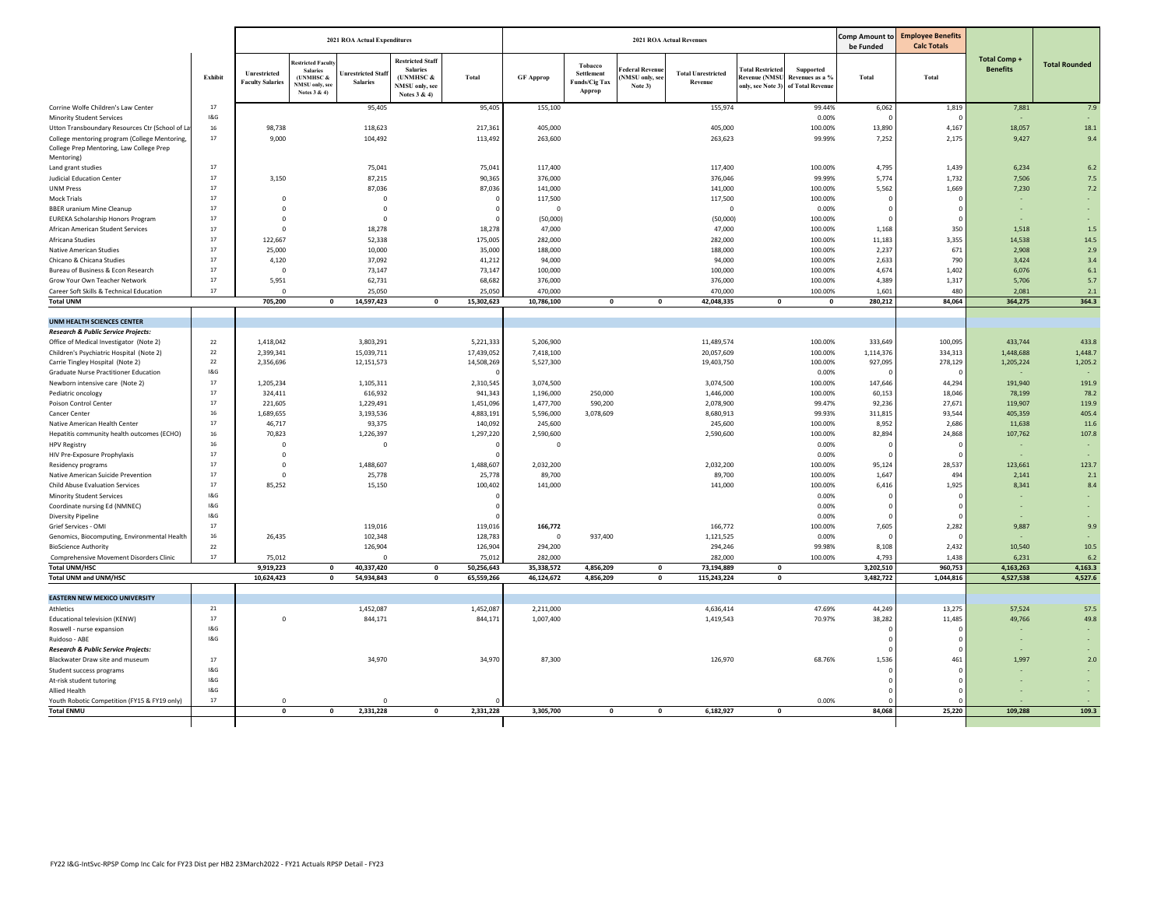|                                                                                                         |         |                                         |                                                                                    | <b>2021 ROA Actual Expenditures</b>  |                                                                                           |                         |                        |                                                  |                                           | <b>2021 ROA Actual Revenues</b>      |                                                                                |                              | <b>Comp Amount to</b><br>be Funded | <b>Employee Benefits</b><br><b>Calc Totals</b> |                                 |                      |
|---------------------------------------------------------------------------------------------------------|---------|-----------------------------------------|------------------------------------------------------------------------------------|--------------------------------------|-------------------------------------------------------------------------------------------|-------------------------|------------------------|--------------------------------------------------|-------------------------------------------|--------------------------------------|--------------------------------------------------------------------------------|------------------------------|------------------------------------|------------------------------------------------|---------------------------------|----------------------|
|                                                                                                         | Exhibit | Unrestricted<br><b>Faculty Salaries</b> | estricted Facu<br><b>Salaries</b><br>(UNMHSC $&$<br>NMSU only, see<br>Notes 3 & 4) | Inrestricted Staf<br><b>Salaries</b> | <b>Restricted Staff</b><br><b>Salaries</b><br>(UNMHSC &<br>NMSU only, see<br>Notes 3 & 4) | Total                   | <b>GF Approp</b>       | Tobacco<br>Settlement<br>Funds/Cig Tax<br>Approp | ederal Revenu<br>NMSU only, so<br>Note 3) | <b>Total Unrestricted</b><br>Revenue | <b>Total Restricted</b><br>Revenue (NMSU<br>only, see Note 3) of Total Revenue | Supported<br>Revenues as a % | <b>Total</b>                       | Total                                          | Total Comp +<br><b>Benefits</b> | <b>Total Rounded</b> |
| Corrine Wolfe Children's Law Center                                                                     | 17      |                                         |                                                                                    | 95,405                               |                                                                                           | 95,405                  | 155,100                |                                                  |                                           | 155,974                              |                                                                                | 99.44%                       | 6,062                              | 1,819                                          | 7,881                           | 7.9                  |
| <b>Minority Student Services</b>                                                                        | 18G     |                                         |                                                                                    |                                      |                                                                                           |                         |                        |                                                  |                                           |                                      |                                                                                | 0.00%                        |                                    |                                                |                                 |                      |
| Utton Transboundary Resources Ctr (School of La                                                         | 16      | 98,738                                  |                                                                                    | 118,623                              |                                                                                           | 217,361                 | 405,000                |                                                  |                                           | 405,000                              |                                                                                | 100.00%                      | 13,890                             | 4,167                                          | 18,057                          | 18.1                 |
| College mentoring program (College Mentoring,<br>College Prep Mentoring, Law College Prep<br>Mentoring) | 17      | 9,000                                   |                                                                                    | 104,492                              |                                                                                           | 113,492                 | 263,600                |                                                  |                                           | 263,623                              |                                                                                | 99.99%                       | 7,252                              | 2,175                                          | 9,427                           | 9.4                  |
| Land grant studies                                                                                      | 17      |                                         |                                                                                    | 75,041                               |                                                                                           | 75,041                  | 117,400                |                                                  |                                           | 117,400                              |                                                                                | 100.00%                      | 4,795                              | 1,439                                          | 6,234                           | 6.2                  |
| <b>Judicial Education Center</b>                                                                        | 17      | 3,150                                   |                                                                                    | 87,215                               |                                                                                           | 90,36                   | 376,000                |                                                  |                                           | 376,046                              |                                                                                | 99.99%                       | 5,774                              | 1,732                                          | 7,506                           | 7.5                  |
| <b>UNM Press</b>                                                                                        | 17      |                                         |                                                                                    | 87,036                               |                                                                                           | 87,036                  | 141,000                |                                                  |                                           | 141,000                              |                                                                                | 100.00%                      | 5,562                              | 1,669                                          | 7,230                           | 7.2                  |
| <b>Mock Trials</b>                                                                                      | 17      | $\overline{0}$                          |                                                                                    | $\Omega$                             |                                                                                           |                         | 117,500                |                                                  |                                           | 117,500                              |                                                                                | 100.00%                      |                                    |                                                |                                 |                      |
| <b>BBER</b> uranium Mine Cleanup                                                                        | 17      | $\mathbf 0$                             |                                                                                    | $\mathbf 0$                          |                                                                                           |                         | $\overline{0}$         |                                                  |                                           | $\overline{0}$                       |                                                                                | 0.00%                        |                                    |                                                |                                 |                      |
| <b>EUREKA Scholarship Honors Program</b>                                                                | 17      | $\Omega$                                |                                                                                    | $\Omega$                             |                                                                                           |                         | (50,000)               |                                                  |                                           | (50,000)                             |                                                                                | 100.00%                      |                                    |                                                |                                 | ÷                    |
| African American Student Services                                                                       | 17      | $\overline{0}$                          |                                                                                    | 18,278                               |                                                                                           | 18,278                  | 47,000                 |                                                  |                                           | 47,000                               |                                                                                | 100.00%                      | 1,168                              | 350                                            | 1,518                           | 1.5                  |
| Africana Studies                                                                                        | $17\,$  | 122,667                                 |                                                                                    | 52,338                               |                                                                                           | 175,005                 | 282,000                |                                                  |                                           | 282,000                              |                                                                                | 100.00%                      | 11,183                             | 3,355                                          | 14,538                          | 14.5                 |
| Native American Studies                                                                                 | 17      | 25,000                                  |                                                                                    | 10,000                               |                                                                                           | 35,000                  | 188,000                |                                                  |                                           | 188,000                              |                                                                                | 100.00%                      | 2,237                              | 671                                            | 2.908                           | 2.9                  |
| Chicano & Chicana Studies                                                                               | 17      | 4,120                                   |                                                                                    | 37,092                               |                                                                                           | 41,212                  | 94,000                 |                                                  |                                           | 94,000                               |                                                                                | 100.00%                      | 2,633                              | 790                                            | 3,424                           | 3.4                  |
| Bureau of Business & Econ Research                                                                      | 17      | $\Omega$                                |                                                                                    | 73,147                               |                                                                                           | 73,147                  | 100,000                |                                                  |                                           | 100,000                              |                                                                                | 100.00%                      | 4,674                              | 1,402                                          | 6,076                           | 6.1                  |
| Grow Your Own Teacher Network                                                                           | 17      | 5,951                                   |                                                                                    | 62,731                               |                                                                                           | 68,682                  | 376,000                |                                                  |                                           | 376,000                              |                                                                                | 100.00%                      | 4,389                              | 1,317                                          | 5,706                           | 5.7                  |
| Career Soft Skills & Technical Education                                                                | 17      | $\overline{0}$                          |                                                                                    | 25,050                               |                                                                                           | 25,050                  | 470,000                |                                                  |                                           | 470,000                              |                                                                                | 100.00%                      | 1,601                              | 480                                            | 2,081                           | 2.1                  |
| <b>Total UNM</b>                                                                                        |         | 705,200                                 | $\mathbf 0$                                                                        | 14,597,423                           | $\mathbf 0$                                                                               | 15,302,623              | 10,786,100             | $\pmb{\mathsf{o}}$                               | $\mathbf{0}$                              | 42,048,335                           | $\mathbf{o}$                                                                   | $\mathbf 0$                  | 280,212                            | 84,064                                         | 364,275                         | 364.3                |
|                                                                                                         |         |                                         |                                                                                    |                                      |                                                                                           |                         |                        |                                                  |                                           |                                      |                                                                                |                              |                                    |                                                |                                 |                      |
| <b>UNM HEALTH SCIENCES CENTER</b>                                                                       |         |                                         |                                                                                    |                                      |                                                                                           |                         |                        |                                                  |                                           |                                      |                                                                                |                              |                                    |                                                |                                 |                      |
| Research & Public Service Projects:                                                                     | 22      |                                         |                                                                                    |                                      |                                                                                           |                         |                        |                                                  |                                           |                                      |                                                                                |                              |                                    |                                                | 433,744                         | 433.8                |
| Office of Medical Investigator (Note 2)                                                                 | 22      | 1,418,042                               |                                                                                    | 3,803,291                            |                                                                                           | 5,221,333               | 5,206,900              |                                                  |                                           | 11,489,574                           |                                                                                | 100.00%                      | 333,649<br>1,114,376               | 100,095                                        |                                 | 1,448.7              |
| Children's Psychiatric Hospital (Note 2)<br>Carrie Tingley Hospital (Note 2)                            | 22      | 2,399,341<br>2,356,696                  |                                                                                    | 15,039,711<br>12,151,573             |                                                                                           | 17,439,05<br>14,508,269 | 7,418,100<br>5,527,300 |                                                  |                                           | 20,057,609<br>19,403,750             |                                                                                | 100.00%<br>100.00%           | 927,095                            | 334,313<br>278,129                             | 1,448,688<br>1,205,224          | 1,205.2              |
| <b>Graduate Nurse Practitioner Education</b>                                                            | 18G     |                                         |                                                                                    |                                      |                                                                                           |                         |                        |                                                  |                                           |                                      |                                                                                | 0.00%                        |                                    |                                                |                                 |                      |
|                                                                                                         | 17      |                                         |                                                                                    |                                      |                                                                                           |                         |                        |                                                  |                                           | 3,074,500                            |                                                                                | 100.00%                      | 147,646                            |                                                | 191,940                         | 191.9                |
| Newborn intensive care (Note 2)                                                                         | 17      | 1,205,234<br>324,411                    |                                                                                    | 1,105,311<br>616,932                 |                                                                                           | 2,310,545               | 3,074,500              | 250,000                                          |                                           |                                      |                                                                                | 100.00%                      | 60,153                             | 44,294                                         |                                 |                      |
| Pediatric oncology<br>Poison Control Center                                                             | $17\,$  | 221,605                                 |                                                                                    | 1,229,491                            |                                                                                           | 941,343<br>1,451,096    | 1,196,000<br>1,477,700 | 590,200                                          |                                           | 1,446,000<br>2,078,900               |                                                                                | 99.47%                       | 92,236                             | 18,046<br>27,671                               | 78,199<br>119,907               | 78.2<br>119.9        |
| Cancer Center                                                                                           | 16      | 1,689,655                               |                                                                                    | 3,193,536                            |                                                                                           | 4,883,191               | 5,596,000              | 3,078,609                                        |                                           | 8,680,913                            |                                                                                | 99.93%                       | 311,815                            | 93,544                                         | 405,359                         | 405.4                |
| Native American Health Center                                                                           | 17      | 46,717                                  |                                                                                    | 93,375                               |                                                                                           | 140,09                  | 245,600                |                                                  |                                           | 245,600                              |                                                                                | 100.00%                      | 8,952                              | 2,686                                          | 11,638                          | 11.6                 |
| Hepatitis community health outcomes (ECHO)                                                              | 16      | 70,823                                  |                                                                                    | 1,226,397                            |                                                                                           | 1,297,220               | 2,590,600              |                                                  |                                           | 2,590,600                            |                                                                                | 100.00%                      | 82,894                             | 24,868                                         | 107,762                         | 107.8                |
| <b>HPV Registry</b>                                                                                     | 16      | $\overline{0}$                          |                                                                                    | $\circ$                              |                                                                                           |                         | $\overline{0}$         |                                                  |                                           |                                      |                                                                                | 0.00%                        |                                    |                                                |                                 |                      |
| HIV Pre-Exposure Prophylaxis                                                                            | $17\,$  | $\overline{0}$                          |                                                                                    |                                      |                                                                                           |                         |                        |                                                  |                                           |                                      |                                                                                | 0.00%                        |                                    |                                                |                                 |                      |
| Residency programs                                                                                      | 17      | $\overline{0}$                          |                                                                                    | 1,488,607                            |                                                                                           | 1,488,607               | 2,032,200              |                                                  |                                           | 2,032,200                            |                                                                                | 100.00%                      | 95,124                             | 28,537                                         | 123,661                         | 123.7                |
| Native American Suicide Prevention                                                                      | 17      | $\Omega$                                |                                                                                    | 25,778                               |                                                                                           | 25,778                  | 89,700                 |                                                  |                                           | 89,700                               |                                                                                | 100.00%                      | 1,647                              | 494                                            | 2,141                           | 2.1                  |
| <b>Child Abuse Evaluation Services</b>                                                                  | 17      | 85,252                                  |                                                                                    | 15,150                               |                                                                                           | 100,402                 | 141,000                |                                                  |                                           | 141,000                              |                                                                                | 100.00%                      | 6,416                              | 1,925                                          | 8,341                           | 8.4                  |
| <b>Minority Student Services</b>                                                                        | 18G     |                                         |                                                                                    |                                      |                                                                                           |                         |                        |                                                  |                                           |                                      |                                                                                | 0.00%                        |                                    |                                                |                                 |                      |
| Coordinate nursing Ed (NMNEC)                                                                           | 18G     |                                         |                                                                                    |                                      |                                                                                           |                         |                        |                                                  |                                           |                                      |                                                                                | 0.00%                        |                                    |                                                |                                 |                      |
| <b>Diversity Pipeline</b>                                                                               | 18G     |                                         |                                                                                    |                                      |                                                                                           |                         |                        |                                                  |                                           |                                      |                                                                                | 0.00%                        |                                    |                                                |                                 |                      |
| Grief Services - OMI                                                                                    | 17      |                                         |                                                                                    | 119,016                              |                                                                                           | 119,016                 | 166,772                |                                                  |                                           | 166,772                              |                                                                                | 100.00%                      | 7,605                              | 2,282                                          | 9,887                           | 9.9                  |
|                                                                                                         | 16      | 26,435                                  |                                                                                    | 102,348                              |                                                                                           | 128,783                 | $^{\circ}$             | 937,400                                          |                                           | 1,121,525                            |                                                                                | 0.00%                        |                                    |                                                |                                 |                      |
| Genomics, Biocomputing, Environmental Health<br><b>BioScience Authority</b>                             | $22\,$  |                                         |                                                                                    | 126,904                              |                                                                                           | 126,90                  | 294,200                |                                                  |                                           | 294,246                              |                                                                                | 99.98%                       | 8,108                              | 2,432                                          | 10,540                          | 10.5                 |
| Comprehensive Movement Disorders Clinic                                                                 | 17      | 75,012                                  |                                                                                    | $\Omega$                             |                                                                                           | 75,012                  | 282,000                |                                                  |                                           | 282,000                              |                                                                                | 100.00%                      | 4,793                              | 1,438                                          | 6,231                           | 6.2                  |
| <b>Total UNM/HSC</b>                                                                                    |         | 9,919,223                               | $\mathbf 0$                                                                        | 40,337,420                           | $\Omega$                                                                                  | 50,256,643              | 35,338,572             | 4,856,209                                        | $\mathbf{0}$                              | 73,194,889                           | $\Omega$                                                                       |                              | 3,202,510                          | 960,753                                        | 4,163,263                       | 4,163.3              |
| <b>Total UNM and UNM/HSC</b>                                                                            |         | 10,624,423                              | $\Omega$                                                                           | 54,934,843                           | $\Omega$                                                                                  | 65,559,266              | 46,124,672             | 4,856,209                                        | $\Omega$                                  | 115,243,224                          | $\mathbf{0}$                                                                   |                              | 3,482,722                          | 1,044,816                                      | 4,527,538                       | 4,527.6              |
|                                                                                                         |         |                                         |                                                                                    |                                      |                                                                                           |                         |                        |                                                  |                                           |                                      |                                                                                |                              |                                    |                                                |                                 |                      |
| <b>EASTERN NEW MEXICO UNIVERSITY</b>                                                                    |         |                                         |                                                                                    |                                      |                                                                                           |                         |                        |                                                  |                                           |                                      |                                                                                |                              |                                    |                                                |                                 |                      |
| Athletics                                                                                               | 21      |                                         |                                                                                    | 1,452,087                            |                                                                                           | 1,452,08                | 2,211,000              |                                                  |                                           | 4,636,414                            |                                                                                | 47.69%                       | 44,249                             | 13,275                                         | 57,524                          | 57.5                 |
| Educational television (KENW)                                                                           | 17      | $\Omega$                                |                                                                                    | 844,171                              |                                                                                           | 844,171                 | 1,007,400              |                                                  |                                           | 1,419,543                            |                                                                                | 70.97%                       | 38,282                             | 11,485                                         | 49,766                          | 49.8                 |
| Roswell - nurse expansion                                                                               | 18G     |                                         |                                                                                    |                                      |                                                                                           |                         |                        |                                                  |                                           |                                      |                                                                                |                              |                                    |                                                |                                 |                      |
| Ruidoso - ABE                                                                                           | 18G     |                                         |                                                                                    |                                      |                                                                                           |                         |                        |                                                  |                                           |                                      |                                                                                |                              |                                    |                                                |                                 |                      |
| Research & Public Service Projects:                                                                     |         |                                         |                                                                                    |                                      |                                                                                           |                         |                        |                                                  |                                           |                                      |                                                                                |                              |                                    |                                                |                                 |                      |
| Blackwater Draw site and museum                                                                         | 17      |                                         |                                                                                    | 34,970                               |                                                                                           | 34,970                  | 87,300                 |                                                  |                                           | 126,970                              |                                                                                | 68.76%                       | 1,536                              | 461                                            | 1,997                           | 2.0                  |
| Student success programs                                                                                | 18G     |                                         |                                                                                    |                                      |                                                                                           |                         |                        |                                                  |                                           |                                      |                                                                                |                              |                                    |                                                |                                 |                      |
| At-risk student tutoring                                                                                | 18G     |                                         |                                                                                    |                                      |                                                                                           |                         |                        |                                                  |                                           |                                      |                                                                                |                              |                                    |                                                |                                 |                      |
| Allied Health                                                                                           | 18G     |                                         |                                                                                    |                                      |                                                                                           |                         |                        |                                                  |                                           |                                      |                                                                                |                              |                                    |                                                |                                 |                      |
| Youth Robotic Competition (FY15 & FY19 only)                                                            | $17\,$  | $\circ$                                 |                                                                                    |                                      |                                                                                           |                         |                        |                                                  |                                           |                                      |                                                                                | 0.00%                        |                                    |                                                |                                 |                      |
| <b>Total ENMU</b>                                                                                       |         | $\Omega$                                | $\Omega$                                                                           | 2,331,228                            | $\Omega$                                                                                  | 2,331,228               | 3,305,700              | $\Omega$                                         | $\mathbf{0}$                              | 6,182,927                            | $\Omega$                                                                       |                              | 84,068                             | 25,220                                         | 109.288                         | 109.3                |
|                                                                                                         |         |                                         |                                                                                    |                                      |                                                                                           |                         |                        |                                                  |                                           |                                      |                                                                                |                              |                                    |                                                |                                 |                      |
|                                                                                                         |         |                                         |                                                                                    |                                      |                                                                                           |                         |                        |                                                  |                                           |                                      |                                                                                |                              |                                    |                                                |                                 |                      |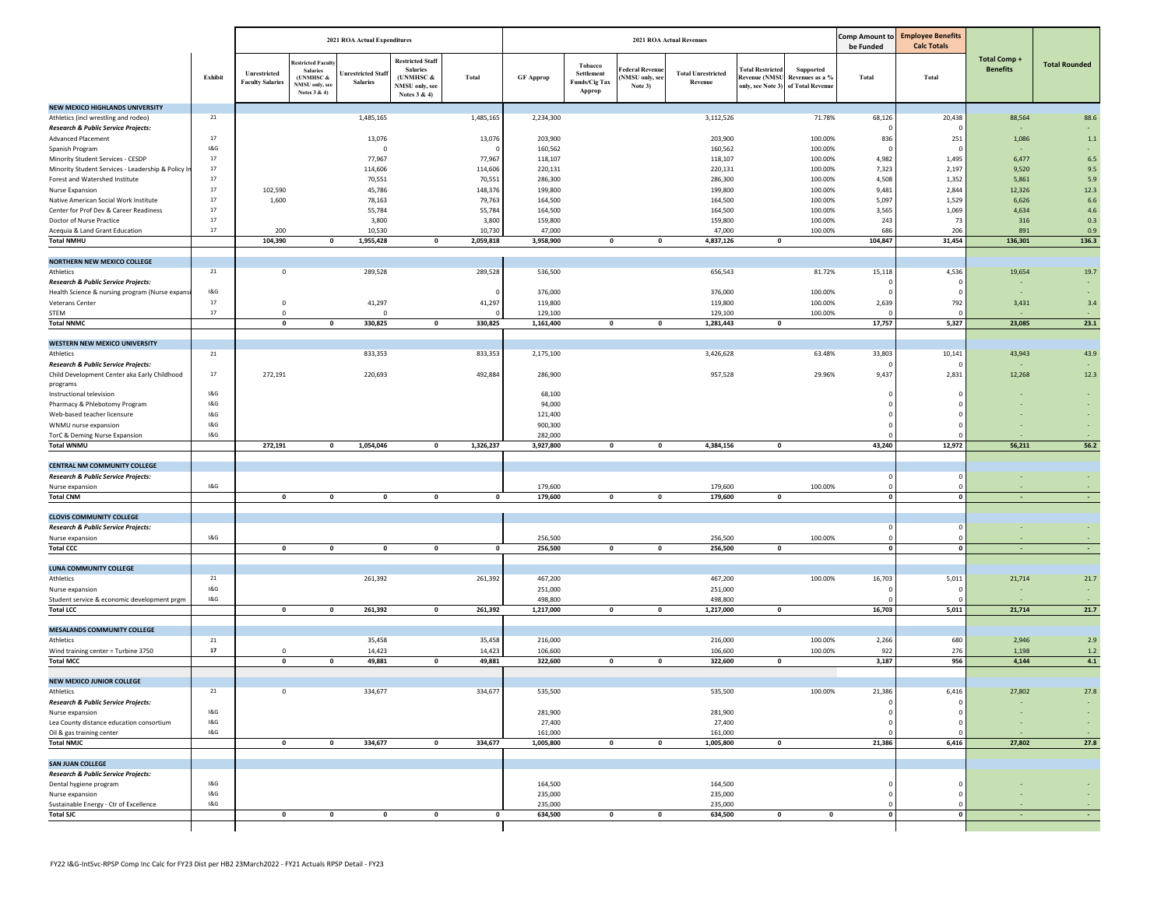|                                                                |              |                                         |                                                                                   | 2021 ROA Actual Expenditures         |                                                                                           |             |                    |                                                         |                                              | <b>2021 ROA Actual Revenues</b>      | <b>Comp Amount to</b><br>be Funded                                                             | <b>Employee Benefits</b><br><b>Calc Totals</b> |          |            |                                        |                      |
|----------------------------------------------------------------|--------------|-----------------------------------------|-----------------------------------------------------------------------------------|--------------------------------------|-------------------------------------------------------------------------------------------|-------------|--------------------|---------------------------------------------------------|----------------------------------------------|--------------------------------------|------------------------------------------------------------------------------------------------|------------------------------------------------|----------|------------|----------------------------------------|----------------------|
|                                                                | Exhibit      | Unrestricted<br><b>Faculty Salaries</b> | stricted Facult<br><b>Salaries</b><br>(UNMHSC &<br>NMSU only, see<br>Notes 3 & 4) | Inrestricted Staf<br><b>Salaries</b> | <b>Restricted Staff</b><br><b>Salaries</b><br>(UNMHSC &<br>NMSU only, see<br>Notes 3 & 4) | Total       | <b>GF Approp</b>   | Tobacco<br>Settlement<br><b>Funds/Cig Tax</b><br>Approp | 'ederal Revenue<br>NMSU only, see<br>Note 3) | <b>Total Unrestricted</b><br>Revenue | <b>Fotal Restricted</b><br>Revenue (NMSU Revenues as a %<br>only, see Note 3) of Total Revenue | Supported                                      | Total    | Total      | <b>Total Comp +</b><br><b>Benefits</b> | <b>Total Rounded</b> |
| <b>NEW MEXICO HIGHLANDS UNIVERSITY</b>                         |              |                                         |                                                                                   |                                      |                                                                                           |             |                    |                                                         |                                              |                                      |                                                                                                |                                                |          |            |                                        |                      |
| Athletics (incl wrestling and rodeo)                           | 21           |                                         |                                                                                   | 1,485,165                            |                                                                                           | 1,485,165   | 2,234,300          |                                                         |                                              | 3,112,526                            |                                                                                                | 71.78%                                         | 68,126   | 20,438     | 88,564                                 | 88.6                 |
| <b>Research &amp; Public Service Projects:</b>                 |              |                                         |                                                                                   |                                      |                                                                                           |             |                    |                                                         |                                              |                                      |                                                                                                |                                                |          |            |                                        |                      |
| Advanced Placement                                             | 17<br>18. G  |                                         |                                                                                   | 13,076                               |                                                                                           | 13,076      | 203,900            |                                                         |                                              | 203,900                              |                                                                                                | 100.00%                                        | 836      | 251        | 1,086                                  | $1.1$                |
| Spanish Program<br>Minority Student Services - CESDP           | 17           |                                         |                                                                                   | $\mathbf 0$<br>77,967                |                                                                                           | 77,967      | 160,562<br>118,107 |                                                         |                                              | 160,562<br>118,107                   |                                                                                                | 100.00%<br>100.00%                             | 4,982    | 1,495      | 6,477                                  | ÷<br>6.5             |
| Minority Student Services - Leadership & Policy In             | 17           |                                         |                                                                                   | 114,606                              |                                                                                           | 114,606     | 220,131            |                                                         |                                              | 220,131                              |                                                                                                | 100.00%                                        | 7,323    | 2,197      | 9,520                                  | 9.5                  |
| Forest and Watershed Institute                                 | 17           |                                         |                                                                                   | 70,551                               |                                                                                           | 70,551      | 286,300            |                                                         |                                              | 286,300                              |                                                                                                | 100.00%                                        | 4,508    | 1,352      | 5,861                                  | 5.9                  |
| Nurse Expansion                                                | 17           | 102,590                                 |                                                                                   | 45,786                               |                                                                                           | 148,376     | 199,800            |                                                         |                                              | 199,800                              |                                                                                                | 100.00%                                        | 9,481    | 2,844      | 12,326                                 | 12.3                 |
| Native American Social Work Institute                          | 17           | 1,600                                   |                                                                                   | 78,163                               |                                                                                           | 79,763      | 164,500            |                                                         |                                              | 164,500                              |                                                                                                | 100.00%                                        | 5,097    | 1,529      | 6,626                                  | 6.6                  |
| Center for Prof Dev & Career Readiness                         | 17           |                                         |                                                                                   | 55,784                               |                                                                                           | 55,784      | 164,500            |                                                         |                                              | 164,500                              |                                                                                                | 100.00%                                        | 3,565    | 1,069      | 4,634                                  | 4.6                  |
| Doctor of Nurse Practice                                       | 17           |                                         |                                                                                   | 3,800                                |                                                                                           | 3,800       | 159,800            |                                                         |                                              | 159,800                              |                                                                                                | 100.00%                                        | 243      | 73         | 316                                    | 0.3                  |
| Acequia & Land Grant Education                                 | 17           | 200                                     |                                                                                   | 10,530                               |                                                                                           | 10,730      | 47,000             |                                                         |                                              | 47,000                               |                                                                                                | 100.00%                                        | 686      | 206        | 891                                    | 0.9                  |
| <b>Total NMHU</b>                                              |              | 104,390                                 | $\mathbf 0$                                                                       | 1,955,428                            | $\mathbf 0$                                                                               | 2,059,818   | 3,958,900          | $\mathbf 0$                                             | $\mathbf 0$                                  | 4,837,126                            | $\mathbf{0}$                                                                                   |                                                | 104,847  | 31,454     | 136,301                                | 136.3                |
| NORTHERN NEW MEXICO COLLEGE                                    |              |                                         |                                                                                   |                                      |                                                                                           |             |                    |                                                         |                                              |                                      |                                                                                                |                                                |          |            |                                        |                      |
| Athletics                                                      | 21           | $\mathbf 0$                             |                                                                                   | 289,528                              |                                                                                           | 289,528     | 536,500            |                                                         |                                              | 656,543                              |                                                                                                | 81.72%                                         | 15,118   | 4,536      | 19,654                                 | 19.7                 |
| Research & Public Service Projects:                            |              |                                         |                                                                                   |                                      |                                                                                           |             |                    |                                                         |                                              |                                      |                                                                                                |                                                |          |            |                                        |                      |
| Health Science & nursing program (Nurse expan:                 | 1&G          |                                         |                                                                                   |                                      |                                                                                           |             | 376,000            |                                                         |                                              | 376,000                              |                                                                                                | 100.00%                                        |          |            |                                        | ÷                    |
| Veterans Center                                                | 17           | $\mathbf 0$                             |                                                                                   | 41,297                               |                                                                                           | 41,297      | 119,800            |                                                         |                                              | 119,800                              |                                                                                                | 100.00%                                        | 2,639    | 792        | 3,431                                  | 3.4                  |
| STEM                                                           | 17           | $^{\circ}$                              |                                                                                   | O                                    |                                                                                           |             | 129,100            |                                                         |                                              | 129,100                              |                                                                                                | 100.00%                                        |          |            |                                        |                      |
| <b>Total NNMC</b>                                              |              | $\mathbf 0$                             | $\mathbf 0$                                                                       | 330,825                              | $\mathbf 0$                                                                               | 330,825     | 1,161,400          | $\mathbf 0$                                             | $\mathbf 0$                                  | 1,281,443                            | 0                                                                                              |                                                | 17,757   | 5,327      | 23,085                                 | 23.1                 |
| WESTERN NEW MEXICO UNIVERSITY                                  |              |                                         |                                                                                   |                                      |                                                                                           |             |                    |                                                         |                                              |                                      |                                                                                                |                                                |          |            |                                        |                      |
| Athletics                                                      | 21           |                                         |                                                                                   | 833,353                              |                                                                                           | 833,353     | 2,175,100          |                                                         |                                              | 3,426,628                            |                                                                                                | 63.48%                                         | 33,803   | 10,141     | 43,943                                 | 43.9                 |
| Research & Public Service Projects:                            |              |                                         |                                                                                   |                                      |                                                                                           |             |                    |                                                         |                                              |                                      |                                                                                                |                                                |          |            |                                        |                      |
| Child Development Center aka Early Childhood                   | 17           | 272,191                                 |                                                                                   | 220,693                              |                                                                                           | 492,884     | 286,900            |                                                         |                                              | 957,528                              |                                                                                                | 29.96%                                         | 9,437    | 2,831      | 12,268                                 | 12.3                 |
| programs                                                       |              |                                         |                                                                                   |                                      |                                                                                           |             |                    |                                                         |                                              |                                      |                                                                                                |                                                |          |            |                                        |                      |
| Instructional television                                       | 18. G        |                                         |                                                                                   |                                      |                                                                                           |             | 68,100             |                                                         |                                              |                                      |                                                                                                |                                                |          |            |                                        | ÷                    |
| Pharmacy & Phlebotomy Program                                  | 1&G          |                                         |                                                                                   |                                      |                                                                                           |             | 94,000             |                                                         |                                              |                                      |                                                                                                |                                                |          |            |                                        |                      |
| Web-based teacher licensure                                    | 1&G          |                                         |                                                                                   |                                      |                                                                                           |             | 121,400            |                                                         |                                              |                                      |                                                                                                |                                                |          |            |                                        |                      |
| WNMU nurse expansion<br>TorC & Deming Nurse Expansion          | 18. G<br>1&G |                                         |                                                                                   |                                      |                                                                                           |             | 900,300<br>282,000 |                                                         |                                              |                                      |                                                                                                |                                                |          |            |                                        |                      |
| <b>Total WNMU</b>                                              |              | 272,191                                 | $\mathbf 0$                                                                       | 1,054,046                            | $\mathbf{0}$                                                                              | 1,326,237   | 3,927,800          | $\mathbf 0$                                             | 0                                            | 4,384,156                            | 0                                                                                              |                                                | 43,240   | 12,972     | 56,211                                 | 56.2                 |
|                                                                |              |                                         |                                                                                   |                                      |                                                                                           |             |                    |                                                         |                                              |                                      |                                                                                                |                                                |          |            |                                        |                      |
| <b>CENTRAL NM COMMUNITY COLLEGE</b>                            |              |                                         |                                                                                   |                                      |                                                                                           |             |                    |                                                         |                                              |                                      |                                                                                                |                                                |          |            |                                        |                      |
| Research & Public Service Projects:                            |              |                                         |                                                                                   |                                      |                                                                                           |             |                    |                                                         |                                              |                                      |                                                                                                |                                                |          |            |                                        |                      |
| Nurse expansion                                                | 18. G        |                                         |                                                                                   |                                      |                                                                                           |             | 179,600            |                                                         |                                              | 179,600                              |                                                                                                | 100.00%                                        |          |            |                                        |                      |
| <b>Total CNM</b>                                               |              | $\mathbf 0$                             | $\mathbf 0$                                                                       | $\mathbf 0$                          | $\mathbf 0$                                                                               | $\mathbf 0$ | 179,600            | $\pmb{0}$                                               | 0                                            | 179,600                              | 0                                                                                              |                                                |          |            |                                        |                      |
| <b>CLOVIS COMMUNITY COLLEGE</b>                                |              |                                         |                                                                                   |                                      |                                                                                           |             |                    |                                                         |                                              |                                      |                                                                                                |                                                |          |            |                                        |                      |
| Research & Public Service Projects:                            |              |                                         |                                                                                   |                                      |                                                                                           |             |                    |                                                         |                                              |                                      |                                                                                                |                                                |          |            |                                        |                      |
| Nurse expansion                                                | 18. G        |                                         |                                                                                   |                                      |                                                                                           |             | 256,500            |                                                         |                                              | 256,500                              |                                                                                                | 100.00%                                        |          |            |                                        |                      |
| <b>Total CCC</b>                                               |              | $\mathbf 0$                             | $\mathbf 0$                                                                       | $\mathbf 0$                          | $\mathbf{0}$                                                                              | $\mathbf 0$ | 256,500            | $\mathbf 0$                                             | $\mathbf{0}$                                 | 256,500                              | $\mathbf 0$                                                                                    |                                                | $\Omega$ |            |                                        | n.                   |
|                                                                |              |                                         |                                                                                   |                                      |                                                                                           |             |                    |                                                         |                                              |                                      |                                                                                                |                                                |          |            |                                        |                      |
| <b>LUNA COMMUNITY COLLEGE</b>                                  |              |                                         |                                                                                   |                                      |                                                                                           |             |                    |                                                         |                                              |                                      |                                                                                                |                                                |          |            |                                        |                      |
| Athletics                                                      | 21<br>1&G    |                                         |                                                                                   | 261,392                              |                                                                                           | 261,392     | 467,200<br>251,000 |                                                         |                                              | 467,200<br>251,000                   |                                                                                                | 100.00%                                        | 16,703   | 5,011      | 21,714                                 | 21.7                 |
| Nurse expansion<br>Student service & economic development prgm | 18. G        |                                         |                                                                                   |                                      |                                                                                           |             | 498,800            |                                                         |                                              | 498,800                              |                                                                                                |                                                |          |            |                                        |                      |
| <b>Total LCC</b>                                               |              | $\mathbf{0}$                            | $\bullet$                                                                         | 261,392                              | $\mathbf 0$                                                                               | 261,392     | 1,217,000          | $\mathbf 0$                                             | $\mathbf 0$                                  | 1,217,000                            | $\mathbf 0$                                                                                    |                                                | 16,703   | 5,011      | 21,714                                 | 21.7                 |
|                                                                |              |                                         |                                                                                   |                                      |                                                                                           |             |                    |                                                         |                                              |                                      |                                                                                                |                                                |          |            |                                        |                      |
| <b>MESALANDS COMMUNITY COLLEGE</b>                             |              |                                         |                                                                                   |                                      |                                                                                           |             |                    |                                                         |                                              |                                      |                                                                                                |                                                |          |            |                                        |                      |
| Athletics                                                      | 21           |                                         |                                                                                   | 35,458                               |                                                                                           | 35,458      | 216,000            |                                                         |                                              | 216,000                              |                                                                                                | 100.00%                                        | 2,266    | 680        | 2,946                                  | 2.9                  |
| Wind training center = Turbine 3750                            | 17           | $\Omega$                                |                                                                                   | 14,423                               |                                                                                           | 14,423      | 106,600            |                                                         |                                              | 106,600                              |                                                                                                | 100.00%                                        | 922      | 276        | 1,198                                  | $1.2$                |
| <b>Total MCC</b>                                               |              | $\mathbf 0$                             | $\mathbf 0$                                                                       | 49,881                               | $\mathbf{0}$                                                                              | 49,881      | 322,600            | $\mathbf 0$                                             | $\mathbf 0$                                  | 322,600                              | $\mathbf 0$                                                                                    |                                                | 3,187    | 956        | 4,144                                  | 4.1                  |
| <b>NEW MEXICO JUNIOR COLLEGE</b>                               |              |                                         |                                                                                   |                                      |                                                                                           |             |                    |                                                         |                                              |                                      |                                                                                                |                                                |          |            |                                        |                      |
| Athletics                                                      | 21           |                                         |                                                                                   | 334,677                              |                                                                                           | 334,67      | 535,500            |                                                         |                                              | 535,500                              |                                                                                                | 100.00%                                        | 21,38    | 6,41       | 27,802                                 | 27.8                 |
| Research & Public Service Projects:                            |              |                                         |                                                                                   |                                      |                                                                                           |             |                    |                                                         |                                              |                                      |                                                                                                |                                                |          | $\epsilon$ |                                        | $\sim$               |
| Nurse expansion                                                | 1&G          |                                         |                                                                                   |                                      |                                                                                           |             | 281,900            |                                                         |                                              | 281,900                              |                                                                                                |                                                |          | $\Omega$   |                                        | $\sim$               |
| Lea County distance education consortium                       | 1&G          |                                         |                                                                                   |                                      |                                                                                           |             | 27,400             |                                                         |                                              | 27,400                               |                                                                                                |                                                |          |            |                                        |                      |
| Oil & gas training center                                      | 18G          |                                         |                                                                                   |                                      |                                                                                           |             | 161,000            |                                                         |                                              | 161,000                              |                                                                                                |                                                |          |            |                                        |                      |
| <b>Total NMJC</b>                                              |              | $\mathbf 0$                             | $\mathbf 0$                                                                       | 334,677                              | $\mathbf{0}$                                                                              | 334,677     | 1,005,800          | $\mathbf 0$                                             | $\mathbf 0$                                  | 1,005,800                            | $\mathbf{0}$                                                                                   |                                                | 21,386   | 6,416      | 27,802                                 | 27.8                 |
| <b>SAN JUAN COLLEGE</b>                                        |              |                                         |                                                                                   |                                      |                                                                                           |             |                    |                                                         |                                              |                                      |                                                                                                |                                                |          |            |                                        |                      |
| <b>Research &amp; Public Service Projects:</b>                 |              |                                         |                                                                                   |                                      |                                                                                           |             |                    |                                                         |                                              |                                      |                                                                                                |                                                |          |            |                                        |                      |
| Dental hygiene program                                         | 1&G          |                                         |                                                                                   |                                      |                                                                                           |             | 164,500            |                                                         |                                              | 164,500                              |                                                                                                |                                                |          |            |                                        |                      |
| Nurse expansion                                                | 1&G          |                                         |                                                                                   |                                      |                                                                                           |             | 235,000            |                                                         |                                              | 235,000                              |                                                                                                |                                                |          |            |                                        | $\sim$               |
| Sustainable Energy - Ctr of Excellence                         | 18. G        |                                         |                                                                                   |                                      |                                                                                           |             | 235,000            |                                                         |                                              | 235,000                              |                                                                                                |                                                |          |            |                                        |                      |
| <b>Total SJC</b>                                               |              | $\mathbf 0$                             | $\mathbf 0$                                                                       | $\mathbf 0$                          | $\mathbf 0$                                                                               | 0           | 634,500            | $\mathbf 0$                                             | 0                                            | 634,500                              | 0                                                                                              | $\mathbf 0$                                    |          |            |                                        |                      |
|                                                                |              |                                         |                                                                                   |                                      |                                                                                           |             |                    |                                                         |                                              |                                      |                                                                                                |                                                |          |            |                                        |                      |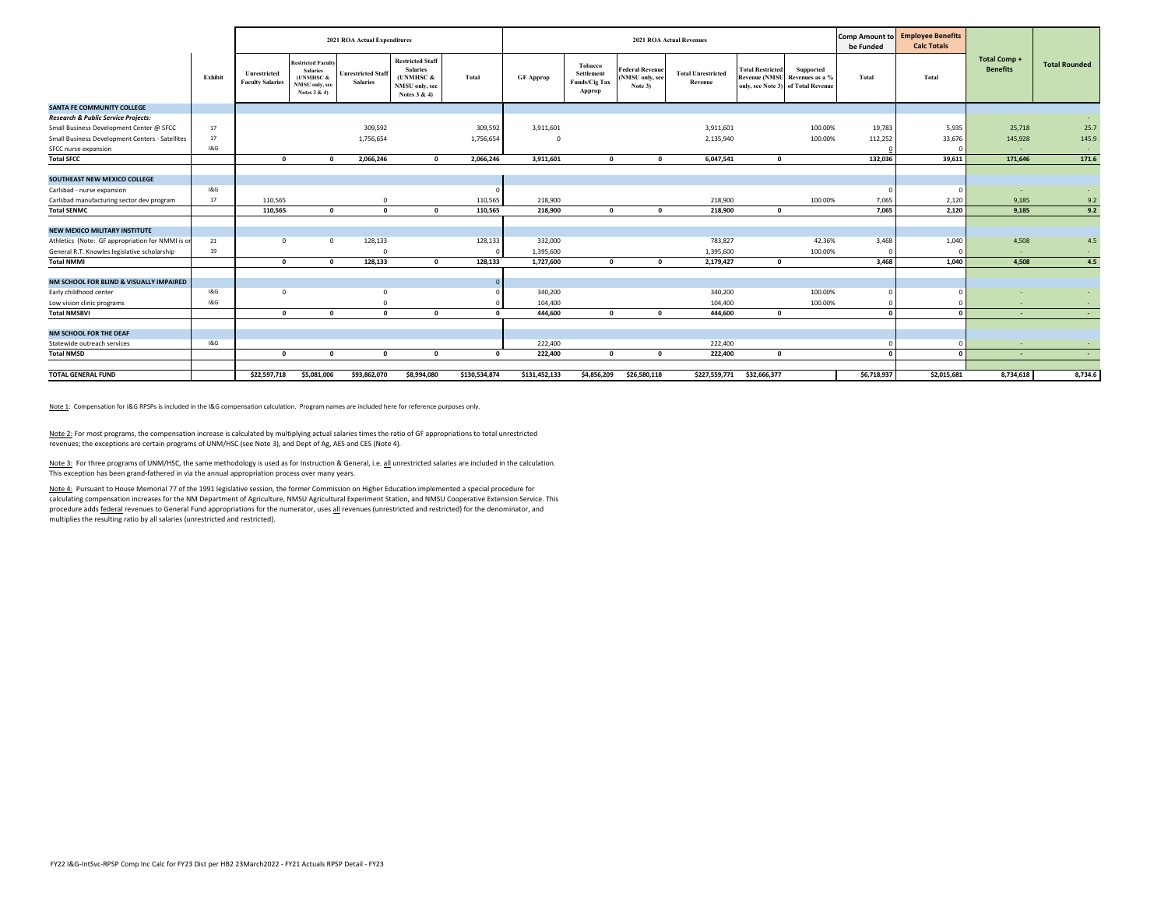|                                                 |         |                                         |                                                                                             | 2021 ROA Actual Expenditures                 |                                                                                            |               |                  |                                                  |                                                      | <b>2021 ROA Actual Revenues</b>      | <b>Comp Amount to</b><br>be Funded | <b>Employee Benefits</b><br><b>Calc Totals</b>                                           |             |             |                                       |                      |
|-------------------------------------------------|---------|-----------------------------------------|---------------------------------------------------------------------------------------------|----------------------------------------------|--------------------------------------------------------------------------------------------|---------------|------------------|--------------------------------------------------|------------------------------------------------------|--------------------------------------|------------------------------------|------------------------------------------------------------------------------------------|-------------|-------------|---------------------------------------|----------------------|
|                                                 | Exhibit | Unrestricted<br><b>Faculty Salaries</b> | <b>Restricted Faculty</b><br><b>Salaries</b><br>(UNMHSC &<br>NMSU only, see<br>Notes 3 & 4) | <b>Unrestricted Staff</b><br><b>Salaries</b> | <b>Restricted Staff</b><br><b>Salaries</b><br>(UNMHSC &<br>NMSU only, see<br>Notes $3 & 4$ | Total         | <b>GF</b> Approp | Tobacco<br>Settlement<br>Funds/Cig Tax<br>Approp | <b>Federal Revenue</b><br>(NMSU only, see<br>Note 3) | <b>Total Unrestricted</b><br>Revenue | <b>Total Restricted</b>            | Supported<br><b>Revenue (NMSU) Revenues as a %</b><br>only, see Note 3) of Total Revenue | Total       | Total       | <b>Total Comp+</b><br><b>Benefits</b> | <b>Total Rounded</b> |
| <b>SANTA FE COMMUNITY COLLEGE</b>               |         |                                         |                                                                                             |                                              |                                                                                            |               |                  |                                                  |                                                      |                                      |                                    |                                                                                          |             |             |                                       |                      |
| <b>Research &amp; Public Service Projects:</b>  |         |                                         |                                                                                             |                                              |                                                                                            |               |                  |                                                  |                                                      |                                      |                                    |                                                                                          |             |             |                                       |                      |
| Small Business Development Center @ SFCC        | 17      |                                         |                                                                                             | 309,592                                      |                                                                                            | 309,592       | 3,911,601        |                                                  |                                                      | 3,911,601                            |                                    | 100.00%                                                                                  | 19,783      | 5,935       | 25,718                                | 25.7                 |
| Small Business Development Centers - Satellites | 17      |                                         |                                                                                             | 1,756,654                                    |                                                                                            | 1,756,654     |                  |                                                  |                                                      | 2,135,940                            |                                    | 100.00%                                                                                  | 112,252     | 33,676      | 145,928                               | 145.9                |
| SFCC nurse expansion                            | 1&G     |                                         |                                                                                             |                                              |                                                                                            |               |                  |                                                  |                                                      |                                      |                                    |                                                                                          |             |             | $\sim$                                |                      |
| <b>Total SFCC</b>                               |         | $\Omega$                                | $\Omega$                                                                                    | 2,066,246                                    | $\Omega$                                                                                   | 2,066,246     | 3,911,601        | $\Omega$                                         | $\mathbf 0$                                          | 6,047,541                            | $\Omega$                           |                                                                                          | 132,036     | 39,611      | 171,646                               | 171.6                |
|                                                 |         |                                         |                                                                                             |                                              |                                                                                            |               |                  |                                                  |                                                      |                                      |                                    |                                                                                          |             |             |                                       |                      |
| SOUTHEAST NEW MEXICO COLLEGE                    |         |                                         |                                                                                             |                                              |                                                                                            |               |                  |                                                  |                                                      |                                      |                                    |                                                                                          |             |             |                                       |                      |
| Carlsbad - nurse expansion                      | 18. G   |                                         |                                                                                             |                                              |                                                                                            |               |                  |                                                  |                                                      |                                      |                                    |                                                                                          |             |             |                                       |                      |
| Carlsbad manufacturing sector dev program       | 17      | 110,565                                 |                                                                                             |                                              |                                                                                            | 110,565       | 218,900          |                                                  |                                                      | 218,900                              |                                    | 100.00%                                                                                  | 7,065       | 2,120       | 9,185                                 | 9.2                  |
| <b>Total SENMC</b>                              |         | 110,565                                 | $\Omega$                                                                                    | $\mathbf{r}$                                 | $\mathbf{a}$                                                                               | 110,565       | 218,900          | $\mathbf{a}$                                     | $\Omega$                                             | 218,900                              | $\Omega$                           |                                                                                          | 7,065       | 2,120       | 9,185                                 | 9.2                  |
|                                                 |         |                                         |                                                                                             |                                              |                                                                                            |               |                  |                                                  |                                                      |                                      |                                    |                                                                                          |             |             |                                       |                      |
| <b>NEW MEXICO MILITARY INSTITUTE</b>            |         |                                         |                                                                                             |                                              |                                                                                            |               |                  |                                                  |                                                      |                                      |                                    |                                                                                          |             |             |                                       |                      |
| Athletics (Note: GF appropriation for NMMI is o | 21      | $\Omega$                                | $\circ$                                                                                     | 128,133                                      |                                                                                            | 128,133       | 332,000          |                                                  |                                                      | 783,827                              |                                    | 42.36%                                                                                   | 3,468       | 1,040       | 4,508                                 | 4.5                  |
| General R.T. Knowles legislative scholarship    | 19      |                                         |                                                                                             |                                              |                                                                                            |               | 1,395,600        |                                                  |                                                      | 1,395,600                            |                                    | 100.00%                                                                                  |             |             | ×.                                    | $\sim$               |
| <b>Total NMMI</b>                               |         | $\mathbf{r}$                            | $\Omega$                                                                                    | 128,133                                      | $\Omega$                                                                                   | 128,133       | 1,727,600        | $\mathbf{a}$                                     | $\mathbf 0$                                          | 2,179,427                            | $\mathbf{0}$                       |                                                                                          | 3,468       | 1,040       | 4,508                                 | 4.5                  |
|                                                 |         |                                         |                                                                                             |                                              |                                                                                            |               |                  |                                                  |                                                      |                                      |                                    |                                                                                          |             |             |                                       |                      |
| NM SCHOOL FOR BLIND & VISUALLY IMPAIRED         |         |                                         |                                                                                             |                                              |                                                                                            | $\Omega$      |                  |                                                  |                                                      |                                      |                                    |                                                                                          |             |             |                                       |                      |
| Early childhood center                          | 18G     | $\Omega$                                |                                                                                             | $\Omega$                                     |                                                                                            |               | 340,200          |                                                  |                                                      | 340,200                              |                                    | 100.00%                                                                                  |             |             |                                       |                      |
| Low vision clinic programs                      | 18G     |                                         |                                                                                             |                                              |                                                                                            |               | 104,400          |                                                  |                                                      | 104,400                              |                                    | 100.00%                                                                                  |             |             | $\overline{\phantom{a}}$              |                      |
| <b>Total NMSBVI</b>                             |         | $\Omega$                                | $\mathbf{0}$                                                                                | $\Omega$                                     | $\Omega$                                                                                   | $\mathbf{a}$  | 444.600          | $\Omega$                                         | $\mathbf 0$                                          | 444,600                              | $\mathbf 0$                        |                                                                                          | <b>n</b>    |             | $\sim$                                | <b>COL</b>           |
|                                                 |         |                                         |                                                                                             |                                              |                                                                                            |               |                  |                                                  |                                                      |                                      |                                    |                                                                                          |             |             |                                       |                      |
| NM SCHOOL FOR THE DEAF                          |         |                                         |                                                                                             |                                              |                                                                                            |               |                  |                                                  |                                                      |                                      |                                    |                                                                                          |             |             |                                       |                      |
| Statewide outreach services                     | 18. G   |                                         |                                                                                             |                                              |                                                                                            |               | 222,400          |                                                  |                                                      | 222,400                              |                                    |                                                                                          |             |             | $\overline{\phantom{a}}$              |                      |
| <b>Total NMSD</b>                               |         | $\Omega$                                | $\Omega$                                                                                    |                                              | $\sqrt{2}$                                                                                 | $\mathbf{r}$  | 222.400          | $\mathbf{a}$                                     | $\Omega$                                             | 222,400                              | $\Omega$                           |                                                                                          |             |             | ۰.                                    |                      |
|                                                 |         |                                         |                                                                                             |                                              |                                                                                            |               |                  |                                                  |                                                      |                                      |                                    |                                                                                          |             |             |                                       |                      |
| <b>TOTAL GENERAL FUND</b>                       |         | \$22,597,718                            | \$5,081,006                                                                                 | \$93,862,070                                 | \$8,994,080                                                                                | \$130,534,874 | \$131,452,133    | \$4,856,209                                      | \$26,580,118                                         | \$227,559,771                        | \$32,666,377                       |                                                                                          | \$6,718,937 | \$2,015,681 | 8,734,618                             | 8,734.6              |

Note 1: Compensation for I&G RPSPs is included in the I&G compensation calculation. Program names are included here for reference purposes only.

Note 2: For most programs, the compensation increase is calculated by multiplying actual salaries times the ratio of GF appropriations to total unrestricted revenues; the exceptions are certain programs of UNM/HSC (see Note 3), and Dept of Ag, AES and CES (Note 4).

Note 3: For three programs of UNM/HSC, the same methodology is used as for Instruction & General, i.e. all unrestricted salaries are included in the calculation. This exception has been grand‐fathered in via the annual appropriation process over many years.

<u>Note 4:</u> Pursuant to House Memorial 77 of the 1991 legislative session, the former Commission on Higher Education implemented a special procedure for<br>calculating compensation increases for the NM Department of Agriculture procedure adds federal revenues to General Fund appropriations for the numerator, uses all revenues (unrestricted and restricted) for the denominator, and multiplies the resulting ratio by all salaries (unrestricted and restricted).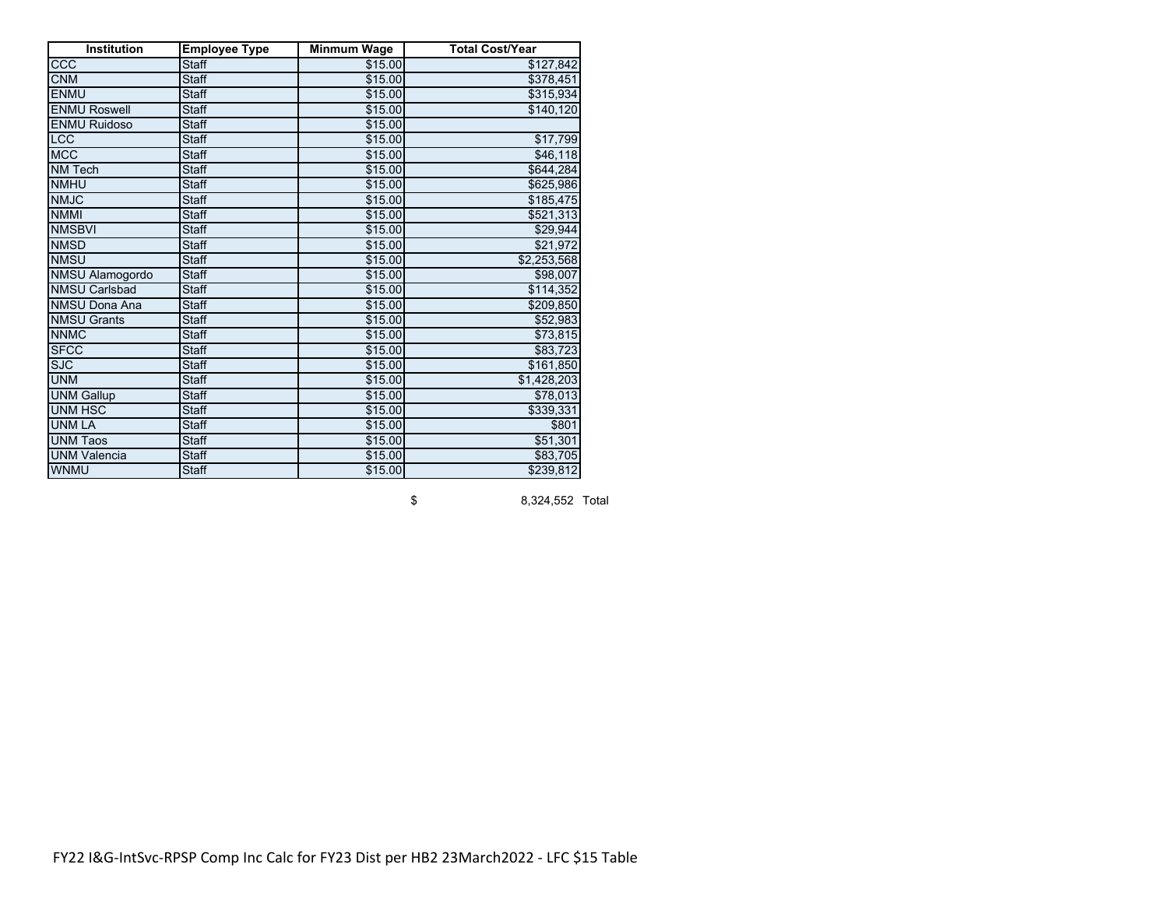| <b>Institution</b>     | <b>Employee Type</b> | <b>Minmum Wage</b> | <b>Total Cost/Year</b> |
|------------------------|----------------------|--------------------|------------------------|
| ccc                    | <b>Staff</b>         | \$15.00            | \$127,842              |
| <b>CNM</b>             | <b>Staff</b>         | \$15.00            | \$378,451              |
| <b>ENMU</b>            | <b>Staff</b>         | \$15.00            | \$315,934              |
| <b>ENMU Roswell</b>    | <b>Staff</b>         | \$15.00            | \$140, 120             |
| <b>ENMU Ruidoso</b>    | <b>Staff</b>         | \$15.00            |                        |
| LCC                    | <b>Staff</b>         | \$15.00            | \$17,799               |
| <b>MCC</b>             | <b>Staff</b>         | \$15.00            | \$46,118               |
| <b>NM Tech</b>         | <b>Staff</b>         | \$15.00            | \$644,284              |
| <b>NMHU</b>            | <b>Staff</b>         | \$15.00            | \$625,986              |
| <b>NMJC</b>            | <b>Staff</b>         | \$15.00            | \$185,475              |
| <b>NMMI</b>            | <b>Staff</b>         | \$15.00            | \$521,313              |
| <b>NMSBVI</b>          | <b>Staff</b>         | \$15.00            | \$29,944               |
| <b>NMSD</b>            | <b>Staff</b>         | \$15.00            | \$21,972               |
| <b>NMSU</b>            | <b>Staff</b>         | \$15.00            | \$2,253,568            |
| <b>NMSU Alamogordo</b> | <b>Staff</b>         | \$15.00            | \$98,007               |
| <b>NMSU Carlsbad</b>   | <b>Staff</b>         | \$15.00            | \$114,352              |
| <b>NMSU Dona Ana</b>   | <b>Staff</b>         | \$15.00            | \$209,850              |
| <b>NMSU Grants</b>     | <b>Staff</b>         | \$15.00            | \$52,983               |
| <b>NNMC</b>            | <b>Staff</b>         | \$15.00            | \$73,815               |
| <b>SFCC</b>            | <b>Staff</b>         | \$15.00            | \$83,723               |
| <b>SJC</b>             | <b>Staff</b>         | \$15.00            | \$161,850              |
| <b>UNM</b>             | <b>Staff</b>         | \$15.00            | \$1,428,203            |
| <b>UNM Gallup</b>      | <b>Staff</b>         | \$15.00            | \$78,013               |
| <b>UNM HSC</b>         | <b>Staff</b>         | \$15.00            | \$339,331              |
| <b>UNM LA</b>          | <b>Staff</b>         | \$15.00            | \$801                  |
| <b>UNM Taos</b>        | <b>Staff</b>         | \$15.00            | \$51,301               |
| <b>UNM Valencia</b>    | <b>Staff</b>         | \$15.00            | \$83,705               |
| WNMU                   | <b>Staff</b>         | \$15.00            | \$239,812              |

\$ 8,324,552 Total